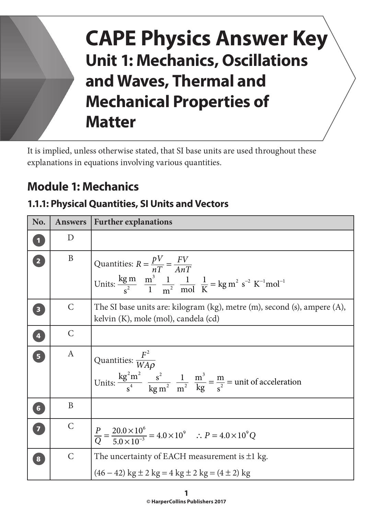# **CAPE Physics Answer Key Unit 1: Mechanics, Oscillations and Waves, Thermal and Mechanical Properties of Matter**

It is implied, unless otherwise stated, that SI base units are used throughout these explanations in equations involving various quantities.

# **Module 1: Mechanics**

#### **1.1.1: Physical Quantities, SI Units and Vectors**

| No.                     | <b>Answers</b> | <b>Further explanations</b>                                                                                                                                                     |
|-------------------------|----------------|---------------------------------------------------------------------------------------------------------------------------------------------------------------------------------|
| $\overline{\mathbf{1}}$ | D              |                                                                                                                                                                                 |
| $\overline{\mathbf{2}}$ | B              | Quantities: $R = \frac{pV}{nT} = \frac{FV}{AnT}$<br>Units: $\frac{kg \text{ m}}{s^2} = \frac{m^3}{1} \frac{1}{m^2} = \frac{1}{mol} \frac{1}{K} = kg m^2 s^{-2} K^{-1} mol^{-1}$ |
| $\overline{\mathbf{3}}$ | $\mathsf{C}$   | The SI base units are: kilogram (kg), metre (m), second (s), ampere (A),<br>kelvin (K), mole (mol), candela (cd)                                                                |
| 4                       | $\mathsf{C}$   |                                                                                                                                                                                 |
| $\overline{\mathbf{5}}$ | A              | Quantities: $\frac{F^2}{WA\rho}$<br>Units: $\frac{kg^2m^2}{s^4}$ $\frac{s^2}{kg m^2}$ $\frac{1}{m^2}$ $\frac{m^3}{kg} = \frac{m}{s^2}$ = unit of acceleration                   |
| 6 <sup>1</sup>          | B              |                                                                                                                                                                                 |
| $\overline{z}$          | $\mathsf{C}$   | $\frac{P}{Q} = \frac{20.0 \times 10^6}{5.0 \times 10^{-3}} = 4.0 \times 10^9$ $\therefore P = 4.0 \times 10^9 Q$                                                                |
| 8                       | $\mathsf{C}$   | The uncertainty of EACH measurement is $\pm 1$ kg.<br>$(46-42)$ kg $\pm$ 2 kg = 4 kg $\pm$ 2 kg = $(4 \pm 2)$ kg                                                                |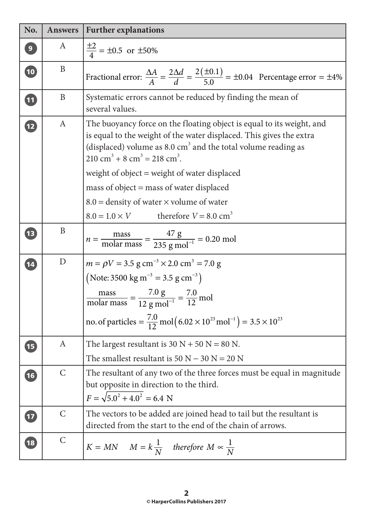| No.                      | <b>Answers</b> | <b>Further explanations</b>                                                                                                                                                                                                                                                                                                                                                     |
|--------------------------|----------------|---------------------------------------------------------------------------------------------------------------------------------------------------------------------------------------------------------------------------------------------------------------------------------------------------------------------------------------------------------------------------------|
| $\mathbf{9}$             | A              | $\frac{\pm 2}{4}$ = ±0.5 or ±50%                                                                                                                                                                                                                                                                                                                                                |
| $\boxed{10}$             | B              | Fractional error: $\frac{\Delta A}{A} = \frac{2\Delta d}{d} = \frac{2(\pm 0.1)}{5.0} = \pm 0.04$ Percentage error = $\pm 4\%$                                                                                                                                                                                                                                                   |
| <b>11</b>                | B              | Systematic errors cannot be reduced by finding the mean of<br>several values.                                                                                                                                                                                                                                                                                                   |
| 12                       | $\mathbf{A}$   | The buoyancy force on the floating object is equal to its weight, and<br>is equal to the weight of the water displaced. This gives the extra<br>(displaced) volume as 8.0 $cm3$ and the total volume reading as<br>$210 \text{ cm}^3 + 8 \text{ cm}^3 = 218 \text{ cm}^3$ .<br>weight of object $=$ weight of water displaced                                                   |
|                          |                | mass of object = mass of water displaced<br>$8.0$ = density of water $\times$ volume of water                                                                                                                                                                                                                                                                                   |
|                          |                | $8.0 = 1.0 \times V$ therefore $V = 8.0 \text{ cm}^3$                                                                                                                                                                                                                                                                                                                           |
| $\overline{\mathbf{1}}$  | B              | $n = \frac{\text{mass}}{\text{molar mass}} = \frac{47 \text{ g}}{235 \text{ g mol}^{-1}} = 0.20 \text{ mol}$                                                                                                                                                                                                                                                                    |
| 14                       | D              | $m = \rho V = 3.5$ g cm <sup>-3</sup> × 2.0 cm <sup>3</sup> = 7.0 g<br>(Note: 3500 kg m <sup>-3</sup> = 3.5 g cm <sup>-3</sup> )<br>$\frac{\text{mass}}{\text{molar mass}} = \frac{7.0 \text{ g}}{12 \text{ g mol}^{-1}} = \frac{7.0 \text{ m}}{12 \text{ m}}$<br>no. of particles = $\frac{7.0}{12}$ mol $(6.02 \times 10^{23}$ mol <sup>-1</sup> $)$ = 3.5 × 10 <sup>23</sup> |
| $\overline{\mathbf{15}}$ | A              | The largest resultant is $30 N + 50 N = 80 N$ .<br>The smallest resultant is $50 N - 30 N = 20 N$                                                                                                                                                                                                                                                                               |
| $\left(16\right)$        | $\mathcal{C}$  | The resultant of any two of the three forces must be equal in magnitude<br>but opposite in direction to the third.<br>$F = \sqrt{5.0^2 + 4.0^2} = 6.4$ N                                                                                                                                                                                                                        |
| $\overline{17}$          | $\mathsf{C}$   | The vectors to be added are joined head to tail but the resultant is<br>directed from the start to the end of the chain of arrows.                                                                                                                                                                                                                                              |
| $\overline{18}$          | $\mathcal{C}$  | $K = MN$ $M = k\frac{1}{N}$ therefore $M \propto \frac{1}{N}$                                                                                                                                                                                                                                                                                                                   |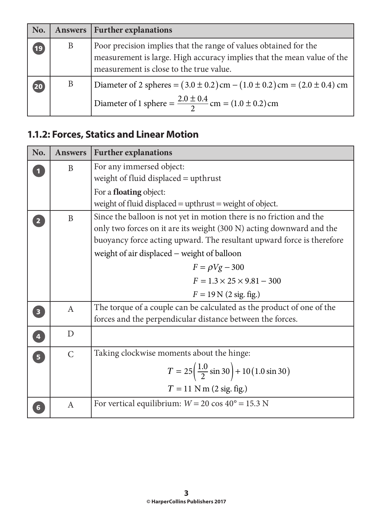| No.  | Answers | <b>Further explanations</b>                                                                                                                                                           |
|------|---------|---------------------------------------------------------------------------------------------------------------------------------------------------------------------------------------|
| (19) | B       | Poor precision implies that the range of values obtained for the<br>measurement is large. High accuracy implies that the mean value of the<br>measurement is close to the true value. |
| 20   | B       | Diameter of 2 spheres = $(3.0 \pm 0.2)$ cm $- (1.0 \pm 0.2)$ cm = $(2.0 \pm 0.4)$ cm<br>Diameter of 1 sphere = $\frac{2.0 \pm 0.4}{2}$ cm = (1.0 ± 0.2) cm                            |

# **1.1.2: Forces, Statics and Linear Motion**

| No.                     | <b>Answers</b> | <b>Further explanations</b>                                                                                                                                                                                          |
|-------------------------|----------------|----------------------------------------------------------------------------------------------------------------------------------------------------------------------------------------------------------------------|
|                         | B              | For any immersed object:<br>weight of fluid displaced = upthrust                                                                                                                                                     |
|                         |                | For a <b>floating</b> object:<br>weight of fluid displaced = $upthrust$ = weight of object.                                                                                                                          |
| $\overline{2}$          | B              | Since the balloon is not yet in motion there is no friction and the<br>only two forces on it are its weight (300 N) acting downward and the<br>buoyancy force acting upward. The resultant upward force is therefore |
|                         |                | weight of air displaced - weight of balloon                                                                                                                                                                          |
|                         |                | $F = \rho Vg - 300$                                                                                                                                                                                                  |
|                         |                | $F = 1.3 \times 25 \times 9.81 - 300$                                                                                                                                                                                |
|                         |                | $F = 19 \text{ N} (2 \text{ sig. fig.})$                                                                                                                                                                             |
|                         | $\mathbf{A}$   | The torque of a couple can be calculated as the product of one of the<br>forces and the perpendicular distance between the forces.                                                                                   |
| $\overline{\mathbf{4}}$ | D              |                                                                                                                                                                                                                      |
| $\overline{\mathbf{5}}$ | $\mathsf{C}$   | Taking clockwise moments about the hinge:                                                                                                                                                                            |
|                         |                | $T = 25\left(\frac{1.0}{2}\sin 30\right) + 10(1.0\sin 30)$                                                                                                                                                           |
|                         |                | $T = 11$ N m (2 sig. fig.)                                                                                                                                                                                           |
|                         | A              | For vertical equilibrium: $W = 20 \cos 40^\circ = 15.3 \text{ N}$                                                                                                                                                    |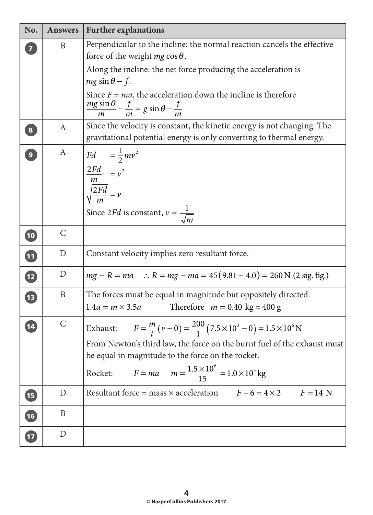| No.                      | <b>Answers</b> | <b>Further explanations</b>                                                                                                                                                                                                                                                                                     |
|--------------------------|----------------|-----------------------------------------------------------------------------------------------------------------------------------------------------------------------------------------------------------------------------------------------------------------------------------------------------------------|
|                          | B              | Perpendicular to the incline: the normal reaction cancels the effective<br>force of the weight $mg \cos \theta$ .                                                                                                                                                                                               |
|                          |                | Along the incline: the net force producing the acceleration is<br>$mg \sin \theta - f$ .                                                                                                                                                                                                                        |
|                          |                | Since $F = ma$ , the acceleration down the incline is therefore<br>$\frac{mg \sin \theta}{m} - \frac{f}{m} = g \sin \theta - \frac{f}{m}$                                                                                                                                                                       |
| $\bf{8}$                 | $\mathbf{A}$   | Since the velocity is constant, the kinetic energy is not changing. The<br>gravitational potential energy is only converting to thermal energy.                                                                                                                                                                 |
| $\overline{9}$           | A              | Fd $=\frac{1}{2}mv^2$<br>$\frac{2Fd}{m} = v^2$<br>$\sqrt{\frac{2Fd}{m}} = v$<br>Since 2 <i>Fd</i> is constant, $v \propto \frac{1}{\sqrt{m}}$                                                                                                                                                                   |
| $\boxed{10}$             | $\mathsf{C}$   |                                                                                                                                                                                                                                                                                                                 |
| $\boxed{11}$             | $\mathbf D$    | Constant velocity implies zero resultant force.                                                                                                                                                                                                                                                                 |
| $\overline{12}$          | D              | $mg - R = ma$ : $R = mg - ma = 45(9.81 - 4.0) = 260$ N (2 sig. fig.)                                                                                                                                                                                                                                            |
| $\sqrt{13}$              | $\mathbf B$    | The forces must be equal in magnitude but oppositely directed.<br>$1.4a = m \times 3.5a$<br>Therefore $m = 0.40 \text{ kg} = 400 \text{ g}$                                                                                                                                                                     |
| 14                       | $\mathcal{C}$  | Exhaust: $F = \frac{m}{t} (v - 0) = \frac{200}{1} (7.5 \times 10^3 - 0) = 1.5 \times 10^6 \text{ N}$<br>From Newton's third law, the force on the burnt fuel of the exhaust must<br>be equal in magnitude to the force on the rocket.<br>Rocket: $F = ma$ $m = \frac{1.5 \times 10^6}{15} = 1.0 \times 10^5$ kg |
| <b>15</b>                | D              | Resultant force = mass $\times$ acceleration $F-6 = 4 \times 2$ $F = 14$ N                                                                                                                                                                                                                                      |
| $\overline{\mathbf{16}}$ | B              |                                                                                                                                                                                                                                                                                                                 |
| 17                       | D              |                                                                                                                                                                                                                                                                                                                 |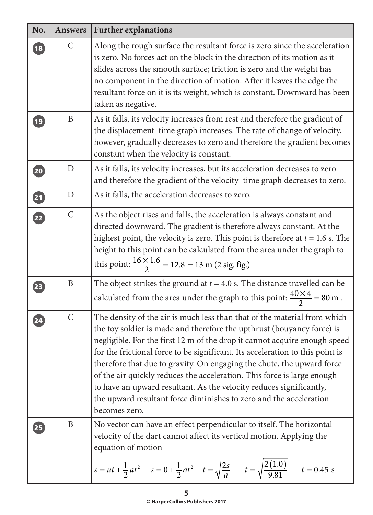| No.             | <b>Answers</b> | <b>Further explanations</b>                                                                                                                                                                                                                                                                                                                                                                                                                                                                                                                                                                                                         |
|-----------------|----------------|-------------------------------------------------------------------------------------------------------------------------------------------------------------------------------------------------------------------------------------------------------------------------------------------------------------------------------------------------------------------------------------------------------------------------------------------------------------------------------------------------------------------------------------------------------------------------------------------------------------------------------------|
| $\overline{18}$ | $\mathsf{C}$   | Along the rough surface the resultant force is zero since the acceleration<br>is zero. No forces act on the block in the direction of its motion as it<br>slides across the smooth surface; friction is zero and the weight has<br>no component in the direction of motion. After it leaves the edge the<br>resultant force on it is its weight, which is constant. Downward has been<br>taken as negative.                                                                                                                                                                                                                         |
| (19)            | B              | As it falls, its velocity increases from rest and therefore the gradient of<br>the displacement-time graph increases. The rate of change of velocity,<br>however, gradually decreases to zero and therefore the gradient becomes<br>constant when the velocity is constant.                                                                                                                                                                                                                                                                                                                                                         |
| (20)            | D              | As it falls, its velocity increases, but its acceleration decreases to zero<br>and therefore the gradient of the velocity-time graph decreases to zero.                                                                                                                                                                                                                                                                                                                                                                                                                                                                             |
| 21              | $\mathbf D$    | As it falls, the acceleration decreases to zero.                                                                                                                                                                                                                                                                                                                                                                                                                                                                                                                                                                                    |
| 22              | $\mathsf{C}$   | As the object rises and falls, the acceleration is always constant and<br>directed downward. The gradient is therefore always constant. At the<br>highest point, the velocity is zero. This point is therefore at $t = 1.6$ s. The<br>height to this point can be calculated from the area under the graph to<br>this point: $\frac{16 \times 1.6}{2}$ = 12.8 = 13 m (2 sig. fig.)                                                                                                                                                                                                                                                  |
| $\overline{23}$ | B              | The object strikes the ground at $t = 4.0$ s. The distance travelled can be<br>calculated from the area under the graph to this point: $\frac{40 \times 4}{2} = 80 \text{ m}$ .                                                                                                                                                                                                                                                                                                                                                                                                                                                     |
| 24              | $\mathsf{C}$   | The density of the air is much less than that of the material from which<br>the toy soldier is made and therefore the upthrust (bouyancy force) is<br>negligible. For the first 12 m of the drop it cannot acquire enough speed<br>for the frictional force to be significant. Its acceleration to this point is<br>therefore that due to gravity. On engaging the chute, the upward force<br>of the air quickly reduces the acceleration. This force is large enough<br>to have an upward resultant. As the velocity reduces significantly,<br>the upward resultant force diminishes to zero and the acceleration<br>becomes zero. |
| 25              | B              | No vector can have an effect perpendicular to itself. The horizontal<br>velocity of the dart cannot affect its vertical motion. Applying the<br>equation of motion<br>$s = ut + \frac{1}{2}at^2$ $s = 0 + \frac{1}{2}at^2$ $t = \sqrt{\frac{2s}{a}}$ $t = \sqrt{\frac{2(1.0)}{9.81}}$ $t = 0.45$ s                                                                                                                                                                                                                                                                                                                                  |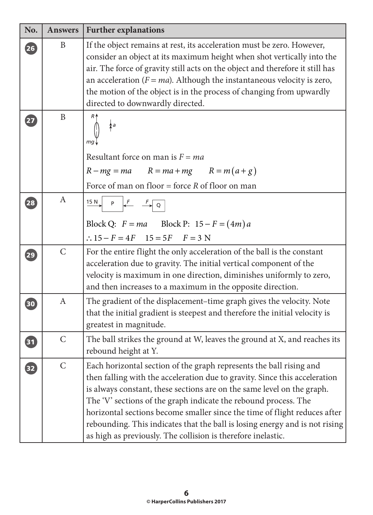| No.                | <b>Answers</b> | <b>Further explanations</b>                                                                                                                                                                                                                                                                                                                                                                                                                                                                                                |
|--------------------|----------------|----------------------------------------------------------------------------------------------------------------------------------------------------------------------------------------------------------------------------------------------------------------------------------------------------------------------------------------------------------------------------------------------------------------------------------------------------------------------------------------------------------------------------|
| 26                 | B              | If the object remains at rest, its acceleration must be zero. However,<br>consider an object at its maximum height when shot vertically into the<br>air. The force of gravity still acts on the object and therefore it still has<br>an acceleration ( $F = ma$ ). Although the instantaneous velocity is zero,<br>the motion of the object is in the process of changing from upwardly<br>directed to downwardly directed.                                                                                                |
| 27                 | $\mathbf{B}$   | $\lambda$ a<br>mg,<br>Resultant force on man is $F = ma$<br>$R - mg = ma$ $R = ma + mg$ $R = m(a + g)$<br>Force of man on floor = force $R$ of floor on man                                                                                                                                                                                                                                                                                                                                                                |
| 28                 | $\mathbf{A}$   | $\overrightarrow{15 N}$ P $\leftarrow$ $\overrightarrow{F}$ Q<br>Block Q: $F = ma$ Block P: $15 - F = (4m)a$<br>$\therefore 15 - F = 4F$ $15 = 5F$ $F = 3$ N                                                                                                                                                                                                                                                                                                                                                               |
| $\left( 29\right)$ | $\mathsf{C}$   | For the entire flight the only acceleration of the ball is the constant<br>acceleration due to gravity. The initial vertical component of the<br>velocity is maximum in one direction, diminishes uniformly to zero,<br>and then increases to a maximum in the opposite direction.                                                                                                                                                                                                                                         |
| 30                 | $\mathbf{A}$   | The gradient of the displacement-time graph gives the velocity. Note<br>that the initial gradient is steepest and therefore the initial velocity is<br>greatest in magnitude.                                                                                                                                                                                                                                                                                                                                              |
| 31                 | $\overline{C}$ | The ball strikes the ground at W, leaves the ground at X, and reaches its<br>rebound height at Y.                                                                                                                                                                                                                                                                                                                                                                                                                          |
| 32                 | $\mathsf{C}$   | Each horizontal section of the graph represents the ball rising and<br>then falling with the acceleration due to gravity. Since this acceleration<br>is always constant, these sections are on the same level on the graph.<br>The 'V' sections of the graph indicate the rebound process. The<br>horizontal sections become smaller since the time of flight reduces after<br>rebounding. This indicates that the ball is losing energy and is not rising<br>as high as previously. The collision is therefore inelastic. |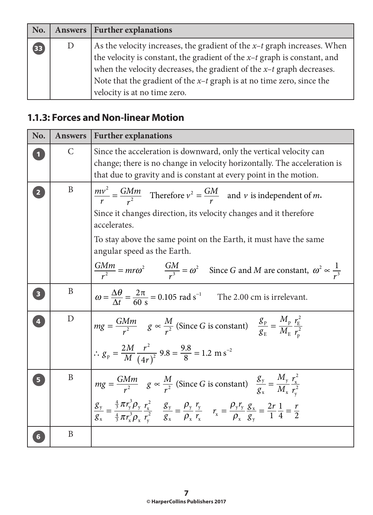| No. |   | Answers   Further explanations                                                                                                                                                                                                                                                                                                                        |
|-----|---|-------------------------------------------------------------------------------------------------------------------------------------------------------------------------------------------------------------------------------------------------------------------------------------------------------------------------------------------------------|
| 33  | D | As the velocity increases, the gradient of the $x$ -t graph increases. When<br>the velocity is constant, the gradient of the $x$ -t graph is constant, and<br>when the velocity decreases, the gradient of the $x$ - $t$ graph decreases.<br>Note that the gradient of the $x$ -t graph is at no time zero, since the<br>velocity is at no time zero. |

### **1.1.3: Forces and Non-linear Motion**

| No.                     | <b>Answers</b> | <b>Further explanations</b>                                                                                                                                                                                                                                                                                                                                                                                                                          |
|-------------------------|----------------|------------------------------------------------------------------------------------------------------------------------------------------------------------------------------------------------------------------------------------------------------------------------------------------------------------------------------------------------------------------------------------------------------------------------------------------------------|
|                         | $\mathsf{C}$   | Since the acceleration is downward, only the vertical velocity can<br>change; there is no change in velocity horizontally. The acceleration is<br>that due to gravity and is constant at every point in the motion.                                                                                                                                                                                                                                  |
| $\overline{2}$          | B              | $\frac{mv^2}{r} = \frac{GMm}{r^2}$ Therefore $v^2 = \frac{GM}{r}$ and v is independent of m.<br>Since it changes direction, its velocity changes and it therefore<br>accelerates.<br>To stay above the same point on the Earth, it must have the same<br>angular speed as the Earth.<br>$\frac{GMm}{r^2} = mr\omega^2 \qquad \frac{GM}{r^3} = \omega^2 \quad \text{Since } G \text{ and } M \text{ are constant, } \omega^2 \propto \frac{1}{r^3}$   |
| $\overline{\mathbf{3}}$ | B              | $\omega = \frac{\Delta\theta}{\Delta t} = \frac{2\pi}{60 \text{ s}} = 0.105 \text{ rad s}^{-1}$ The 2.00 cm is irrelevant.                                                                                                                                                                                                                                                                                                                           |
| $\overline{4}$          | D              | $mg = \frac{GMm}{r^2}$ $g \propto \frac{M}{r^2}$ (Since G is constant) $\frac{g_p}{g_r} = \frac{M_p}{M_r} \frac{r_f^2}{r^2}$<br>$\therefore g_p = \frac{2M}{M} \frac{r^2}{(4r)^2} 9.8 = \frac{9.8}{8} = 1.2 \text{ m s}^{-2}$                                                                                                                                                                                                                        |
| Б                       | B              | $mg = \frac{GMm}{r^2}$ $g \propto \frac{M}{r^2}$ (Since G is constant) $\frac{g_y}{g_x} = \frac{M_y}{M_x} \frac{r_x^2}{r^2}$<br>$\frac{g_{y}}{g_{x}} = \frac{\frac{4}{3}\pi r_{y}^{2} \rho_{y}}{\frac{4}{3}\pi r_{y}^{3} \rho_{y}} \frac{r_{x}^{2}}{r_{y}^{2}} \quad \frac{g_{y}}{g_{x}} = \frac{\rho_{y}}{\rho_{x}} \frac{r_{y}}{r_{x}} \quad r_{x} = \frac{\rho_{y} r_{y}}{\rho_{x}} \frac{g_{x}}{g_{y}} = \frac{2r}{1} \frac{1}{4} = \frac{r}{2}$ |
|                         | B              |                                                                                                                                                                                                                                                                                                                                                                                                                                                      |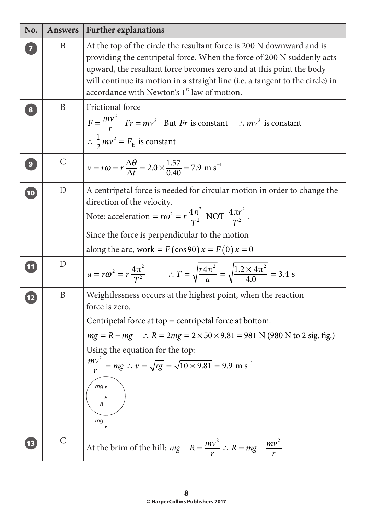| No.            | <b>Answers</b> | <b>Further explanations</b>                                                                                                                                                                                                                                                                                                                                                       |
|----------------|----------------|-----------------------------------------------------------------------------------------------------------------------------------------------------------------------------------------------------------------------------------------------------------------------------------------------------------------------------------------------------------------------------------|
|                | B              | At the top of the circle the resultant force is 200 N downward and is<br>providing the centripetal force. When the force of 200 N suddenly acts<br>upward, the resultant force becomes zero and at this point the body<br>will continue its motion in a straight line (i.e. a tangent to the circle) in<br>accordance with Newton's 1 <sup>st</sup> law of motion.                |
| 8              | B              | Frictional force<br>$F = \frac{mv^2}{r}$ $Fr = mv^2$ But Fr is constant : $mv^2$ is constant<br>$\therefore \frac{1}{2}mv^2 = E_k$ is constant                                                                                                                                                                                                                                    |
| $\overline{9}$ | $\mathsf{C}$   | $v = r\omega = r\frac{\Delta\theta}{\Delta t} = 2.0 \times \frac{1.57}{0.40} = 7.9 \text{ m s}^{-1}$                                                                                                                                                                                                                                                                              |
| $\boxed{10}$   | $\mathbf D$    | A centripetal force is needed for circular motion in order to change the<br>direction of the velocity.<br>Note: acceleration = $r\omega^2 = r \frac{4\pi^2}{T^2}$ NOT $\frac{4\pi r^2}{T^2}$ .<br>Since the force is perpendicular to the motion<br>along the arc, work = $F(\cos 90)x = F(0)x = 0$                                                                               |
| <b>11</b>      | D              | $a = r\omega^2 = r\frac{4\pi^2}{T^2}$ $\therefore T = \sqrt{\frac{r4\pi^2}{a}} = \sqrt{\frac{1.2 \times 4\pi^2}{4.0}} = 3.4$ s                                                                                                                                                                                                                                                    |
| 12             | $\mathbf{B}$   | Weightlessness occurs at the highest point, when the reaction<br>force is zero.<br>Centripetal force at top $=$ centripetal force at bottom.<br>$mg = R - mg$ : $R = 2mg = 2 \times 50 \times 9.81 = 981$ N (980 N to 2 sig. fig.)<br>Using the equation for the top:<br>$\frac{mv^2}{r}$ = mg : $v = \sqrt{rg} = \sqrt{10 \times 9.81} = 9.9$ m s <sup>-1</sup><br>mg<br>R<br>mg |
| $\boxed{13}$   | $\mathcal{C}$  | At the brim of the hill: $mg - R = \frac{mv^2}{r}$ : $R = mg - \frac{mv^2}{r}$                                                                                                                                                                                                                                                                                                    |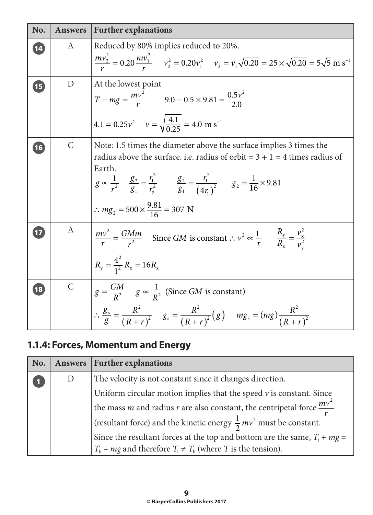| No. | <b>Answers</b> | <b>Further explanations</b>                                                                                                                                                                                                                                                                                                                                             |
|-----|----------------|-------------------------------------------------------------------------------------------------------------------------------------------------------------------------------------------------------------------------------------------------------------------------------------------------------------------------------------------------------------------------|
| 14  | A              | Reduced by 80% implies reduced to 20%.<br>$\frac{mv_2^2}{r} = 0.20 \frac{mv_1^2}{r}$ $v_2^2 = 0.20 v_1^2$ $v_2 = v_1 \sqrt{0.20} = 25 \times \sqrt{0.20} = 5 \sqrt{5} \text{ m s}^{-1}$                                                                                                                                                                                 |
| 15  | D              | At the lowest point<br>$T - mg = \frac{mv^2}{r}$ 9.0 - 0.5 × 9.81 = $\frac{0.5v^2}{2.0}$<br>$4.1 = 0.25v^2$ $v = \sqrt{\frac{4.1}{0.25}} = 4.0$ m s <sup>-1</sup>                                                                                                                                                                                                       |
| 16  | $\mathsf{C}$   | Note: 1.5 times the diameter above the surface implies 3 times the<br>radius above the surface. i.e. radius of orbit = $3 + 1 = 4$ times radius of<br>Earth.<br>$g \propto \frac{1}{r^2}$ $\frac{g_2}{g_1} = \frac{r_1^2}{r_2^2}$ $\frac{g_2}{g_1} = \frac{r_1^2}{(4r_1)^2}$ $g_2 = \frac{1}{16} \times 9.81$<br>$\therefore mg_2 = 500 \times \frac{9.81}{16} = 307$ N |
|     | A              | $\frac{mv^2}{r} = \frac{GMm}{r^2}$ Since GM is constant : $v^2 \propto \frac{1}{r}$ $\frac{R_y}{R_x} = \frac{v_x^2}{v^2}$<br>$R_{y} = \frac{4^{2}}{1^{2}} R_{x} = 16 R_{x}$                                                                                                                                                                                             |
| 18  | $\mathsf{C}$   | $g = \frac{GM}{R^2}$ $g \propto \frac{1}{R^2}$ (Since <i>GM</i> is constant)<br>$\left \therefore \frac{g_s}{g} = \frac{R^2}{(R+r)^2}$ $g_s = \frac{R^2}{(R+r)^2}(g)$ $mg_s = (mg)\frac{R^2}{(R+r)^2}$                                                                                                                                                                  |

## **1.1.4: Forces, Momentum and Energy**

| No. | Answers | <b>Further explanations</b>                                                                     |
|-----|---------|-------------------------------------------------------------------------------------------------|
|     | D       | The velocity is not constant since it changes direction.                                        |
|     |         | Uniform circular motion implies that the speed $\nu$ is constant. Since                         |
|     |         | the mass <i>m</i> and radius <i>r</i> are also constant, the centripetal force $\frac{mv^2}{m}$ |
|     |         | (resultant force) and the kinetic energy $\frac{1}{2}mv^2$ must be constant.                    |
|     |         | Since the resultant forces at the top and bottom are the same, $T_t + mg =$                     |
|     |         | $T_b$ – <i>mg</i> and therefore $T_t \neq T_b$ (where <i>T</i> is the tension).                 |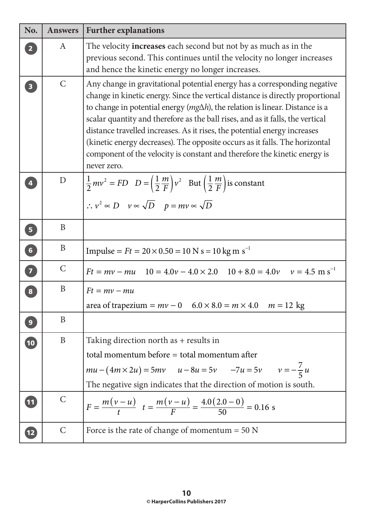| No.                     | <b>Answers</b> | <b>Further explanations</b>                                                                                                                                                                                                                                                                                                                                                                                                                                                                                                                                                                    |
|-------------------------|----------------|------------------------------------------------------------------------------------------------------------------------------------------------------------------------------------------------------------------------------------------------------------------------------------------------------------------------------------------------------------------------------------------------------------------------------------------------------------------------------------------------------------------------------------------------------------------------------------------------|
| $\overline{2}$          | A              | The velocity <b>increases</b> each second but not by as much as in the<br>previous second. This continues until the velocity no longer increases<br>and hence the kinetic energy no longer increases.                                                                                                                                                                                                                                                                                                                                                                                          |
| $\overline{\mathbf{3}}$ | $\mathcal{C}$  | Any change in gravitational potential energy has a corresponding negative<br>change in kinetic energy. Since the vertical distance is directly proportional<br>to change in potential energy ( $mg\Delta h$ ), the relation is linear. Distance is a<br>scalar quantity and therefore as the ball rises, and as it falls, the vertical<br>distance travelled increases. As it rises, the potential energy increases<br>(kinetic energy decreases). The opposite occurs as it falls. The horizontal<br>component of the velocity is constant and therefore the kinetic energy is<br>never zero. |
| $\overline{4}$          | D              | $rac{1}{2}mv^2 = FD$ $D = \left(\frac{1}{2}\frac{m}{F}\right)v^2$ But $\left(\frac{1}{2}\frac{m}{F}\right)$ is constant<br>$\therefore v^2 \propto D \quad v \propto \sqrt{D} \quad p = mv \propto \sqrt{D}$                                                                                                                                                                                                                                                                                                                                                                                   |
| $\boxed{5}$             | B              |                                                                                                                                                                                                                                                                                                                                                                                                                                                                                                                                                                                                |
| 6                       | B              | Impulse = $Ft = 20 \times 0.50 = 10$ N s = 10 kg m s <sup>-1</sup>                                                                                                                                                                                                                                                                                                                                                                                                                                                                                                                             |
| $\overline{\mathbf{z}}$ | $\mathsf{C}$   | $Ft = mv - mu$ $10 = 4.0v - 4.0 \times 2.0$ $10 + 8.0 = 4.0v$ $v = 4.5$ m s <sup>-1</sup>                                                                                                                                                                                                                                                                                                                                                                                                                                                                                                      |
| $\boxed{8}$             | $\mathbf{B}$   | $Ft = mv - mu$<br>area of trapezium = $mv - 0$ 6.0 × 8.0 = $m \times 4.0$ $m = 12$ kg                                                                                                                                                                                                                                                                                                                                                                                                                                                                                                          |
| $\overline{9}$          | B              |                                                                                                                                                                                                                                                                                                                                                                                                                                                                                                                                                                                                |
| 10                      | B              | Taking direction north as + results in<br>total momentum before = total momentum after<br>$mu - (4m \times 2u) = 5mv$ $u - 8u = 5v$ $-7u = 5v$ $v = -\frac{7}{5}u$<br>The negative sign indicates that the direction of motion is south.                                                                                                                                                                                                                                                                                                                                                       |
| $\boxed{11}$            | $\mathcal{C}$  | $F = \frac{m(v-u)}{t}$ $t = \frac{m(v-u)}{F} = \frac{4.0(2.0-0)}{50} = 0.16$ s                                                                                                                                                                                                                                                                                                                                                                                                                                                                                                                 |
| $\overline{12}$         | $\mathsf{C}$   | Force is the rate of change of momentum $= 50$ N                                                                                                                                                                                                                                                                                                                                                                                                                                                                                                                                               |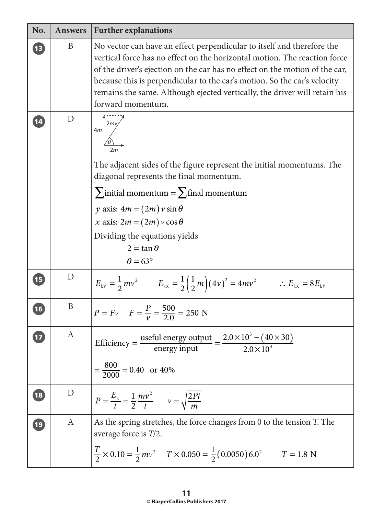| No.          | <b>Answers</b> | <b>Further explanations</b>                                                                                                                                                                                                                                                                                                                                                                                      |
|--------------|----------------|------------------------------------------------------------------------------------------------------------------------------------------------------------------------------------------------------------------------------------------------------------------------------------------------------------------------------------------------------------------------------------------------------------------|
| $\boxed{13}$ | B              | No vector can have an effect perpendicular to itself and therefore the<br>vertical force has no effect on the horizontal motion. The reaction force<br>of the driver's ejection on the car has no effect on the motion of the car,<br>because this is perpendicular to the car's motion. So the car's velocity<br>remains the same. Although ejected vertically, the driver will retain his<br>forward momentum. |
| 14           | D              | 4m<br>The adjacent sides of the figure represent the initial momentums. The<br>diagonal represents the final momentum.<br>$\sum$ initial momentum = $\sum$ final momentum<br>y axis: $4m = (2m) v \sin \theta$<br>x axis: $2m = (2m) v \cos \theta$<br>Dividing the equations yields<br>$2 = \tan \theta$<br>$\theta = 63^\circ$                                                                                 |
| 15           | D              | $E_{\text{kY}} = \frac{1}{2}mv^2$ $E_{\text{kX}} = \frac{1}{2}(\frac{1}{2}m)(4v)^2 = 4mv^2$ $\therefore E_{\text{kX}} = 8E_{\text{kY}}$                                                                                                                                                                                                                                                                          |
| 16           | B              | $P = Fv$ $F = \frac{P}{v} = \frac{500}{20} = 250$ N                                                                                                                                                                                                                                                                                                                                                              |
|              | A              | Efficiency = $\frac{\text{useful energy output}}{\text{energy input}} = \frac{2.0 \times 10^3 - (40 \times 30)}{2.0 \times 10^3}$<br>$=\frac{800}{2000}$ = 0.40 or 40%                                                                                                                                                                                                                                           |
| 18           | D              | $P = \frac{E_{k}}{t} = \frac{1}{2} \frac{mv^{2}}{t}$ $v = \sqrt{\frac{2Pt}{m}}$                                                                                                                                                                                                                                                                                                                                  |
| $\boxed{19}$ | A              | As the spring stretches, the force changes from 0 to the tension T. The<br>average force is T/2.<br>$\frac{T}{2} \times 0.10 = \frac{1}{2}mv^2$ $T \times 0.050 = \frac{1}{2}(0.0050)6.0^2$ $T = 1.8$ N                                                                                                                                                                                                          |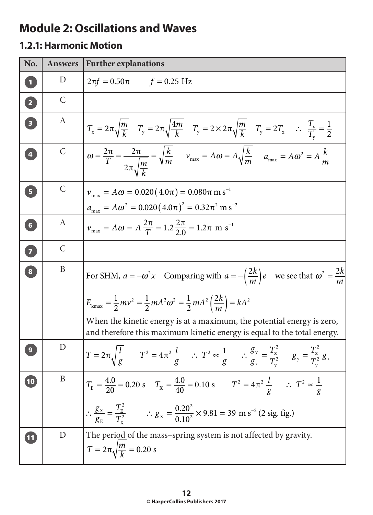# **Module 2: Oscillations and Waves**

#### **1.2.1: Harmonic Motion**

| No.                               | <b>Answers</b> | <b>Further explanations</b>                                                                                                                                                                      |
|-----------------------------------|----------------|--------------------------------------------------------------------------------------------------------------------------------------------------------------------------------------------------|
| $\mathbf{1}$                      | D              | $2\pi f = 0.50\pi$ $f = 0.25$ Hz                                                                                                                                                                 |
| 2                                 | $\mathcal{C}$  |                                                                                                                                                                                                  |
| $\begin{bmatrix} 3 \end{bmatrix}$ | A              | $T_x = 2\pi \sqrt{\frac{m}{k}}$ $T_y = 2\pi \sqrt{\frac{4m}{k}}$ $T_y = 2 \times 2\pi \sqrt{\frac{m}{k}}$ $T_y = 2T_x$ $\therefore$ $\frac{T_x}{T_y} = \frac{1}{2}$                              |
| $\overline{4}$                    | $\mathsf{C}$   | $\omega = \frac{2\pi}{T} = \frac{2\pi}{2\pi\sqrt{\frac{m}{L}}} = \sqrt{\frac{k}{m}}$ $v_{\text{max}} = A\omega = A\sqrt{\frac{k}{m}}$ $a_{\text{max}} = A\omega^2 = A\frac{k}{m}$                |
| 5 <sup>1</sup>                    | $\mathcal{C}$  | $v_{\text{max}} = A\omega = 0.020(4.0\pi) = 0.080\pi \text{ m s}^{-1}$                                                                                                                           |
|                                   |                | $a_{\text{max}} = A\omega^2 = 0.020 (4.0\pi)^2 = 0.32\pi^2 \text{ m s}^{-2}$                                                                                                                     |
| $\begin{bmatrix} 6 \end{bmatrix}$ | A              | $v_{\text{max}} = A\omega = A\frac{2\pi}{T} = 1.2\frac{2\pi}{2.0} = 1.2\pi$ m s <sup>-1</sup>                                                                                                    |
| $\bullet$                         | $\mathcal{C}$  |                                                                                                                                                                                                  |
| $\bullet$                         | B              | For SHM, $a = -\omega^2 x$ Comparing with $a = -\left(\frac{2k}{m}\right)e$ we see that $\omega^2 = \frac{2k}{m}$                                                                                |
|                                   |                | $E_{\text{kmax}} = \frac{1}{2}mv^2 = \frac{1}{2}mA^2\omega^2 = \frac{1}{2}mA^2\left(\frac{2k}{m}\right) = kA^2$                                                                                  |
|                                   |                | When the kinetic energy is at a maximum, the potential energy is zero,<br>and therefore this maximum kinetic energy is equal to the total energy.                                                |
|                                   | D              | $T = 2\pi \sqrt{\frac{l}{g}}$ $T^2 = 4\pi^2 \frac{l}{g}$ $\therefore T^2 \propto \frac{1}{g}$ $\therefore \frac{g_y}{g_x} = \frac{T_x^2}{T_y^2}$ $g_y = \frac{T_x^2}{T_y^2} g_x$                 |
| 10                                | B              | $T_{\rm E} = \frac{4.0}{20} = 0.20$ s $T_{\rm X} = \frac{4.0}{40} = 0.10$ s $T^2 = 4\pi^2 \frac{l}{g}$ $\therefore T^2 \propto \frac{1}{g}$                                                      |
|                                   |                | $\therefore \frac{g_{\text{X}}}{g_{\text{t}}} = \frac{T_{\text{E}}^2}{T_{\text{t}}^2}$ $\therefore g_{\text{X}} = \frac{0.20^2}{0.10^2} \times 9.81 = 39 \text{ m s}^{-2} (2 \text{ sig. fig.})$ |
| 11                                | D              | The period of the mass-spring system is not affected by gravity.<br>$T = 2\pi \sqrt{\frac{m}{k}} = 0.20$ s                                                                                       |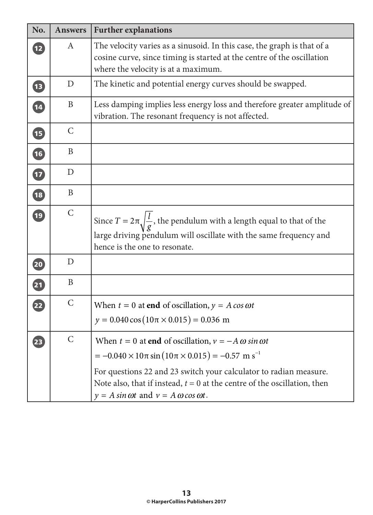| No.                      | <b>Answers</b> | <b>Further explanations</b>                                                                                                                                                                                                                                                                                                                                      |
|--------------------------|----------------|------------------------------------------------------------------------------------------------------------------------------------------------------------------------------------------------------------------------------------------------------------------------------------------------------------------------------------------------------------------|
| $\overline{12}$          | A              | The velocity varies as a sinusoid. In this case, the graph is that of a<br>cosine curve, since timing is started at the centre of the oscillation<br>where the velocity is at a maximum.                                                                                                                                                                         |
| $\sqrt{13}$              | D              | The kinetic and potential energy curves should be swapped.                                                                                                                                                                                                                                                                                                       |
| $\overline{14}$          | B              | Less damping implies less energy loss and therefore greater amplitude of<br>vibration. The resonant frequency is not affected.                                                                                                                                                                                                                                   |
| <b>IE</b>                | $\mathcal{C}$  |                                                                                                                                                                                                                                                                                                                                                                  |
| $\overline{16}$          | B              |                                                                                                                                                                                                                                                                                                                                                                  |
| $\overline{\mathbf{12}}$ | D              |                                                                                                                                                                                                                                                                                                                                                                  |
| $\overline{\textbf{18}}$ | B              |                                                                                                                                                                                                                                                                                                                                                                  |
| $\overline{19}$          | $\mathsf{C}$   | Since $T = 2\pi \sqrt{\frac{l}{\sigma}}$ , the pendulum with a length equal to that of the<br>large driving pendulum will oscillate with the same frequency and<br>hence is the one to resonate.                                                                                                                                                                 |
| 20                       | D              |                                                                                                                                                                                                                                                                                                                                                                  |
| $\overline{\mathbf{21}}$ | B              |                                                                                                                                                                                                                                                                                                                                                                  |
| 22                       | $\mathcal{C}$  | When $t = 0$ at end of oscillation, $y = A \cos \omega t$<br>$y = 0.040 \cos(10 \pi \times 0.015) = 0.036$ m                                                                                                                                                                                                                                                     |
| 23                       | $\mathsf{C}$   | When $t = 0$ at end of oscillation, $v = -A \omega \sin \omega t$<br>$= -0.040 \times 10 \pi \sin(10 \pi \times 0.015) = -0.57$ m s <sup>-1</sup><br>For questions 22 and 23 switch your calculator to radian measure.<br>Note also, that if instead, $t = 0$ at the centre of the oscillation, then<br>$y = A \sin \omega t$ and $v = A \omega \cos \omega t$ . |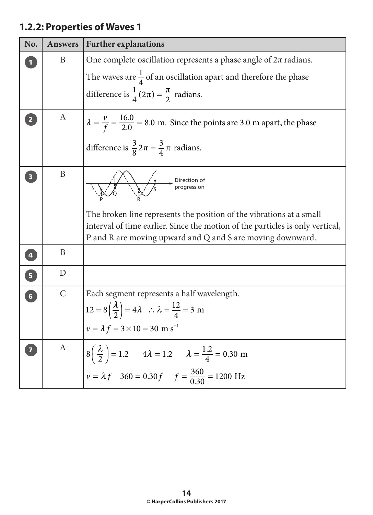# **1.2.2: Properties of Waves 1**

| No.                     | <b>Answers</b>   | <b>Further explanations</b>                                                                                                                                                                                         |
|-------------------------|------------------|---------------------------------------------------------------------------------------------------------------------------------------------------------------------------------------------------------------------|
|                         | B                | One complete oscillation represents a phase angle of $2\pi$ radians.                                                                                                                                                |
|                         |                  | The waves are $\frac{1}{4}$ of an oscillation apart and therefore the phase                                                                                                                                         |
|                         |                  | difference is $\frac{1}{4}(2\pi) = \frac{\pi}{2}$ radians.                                                                                                                                                          |
| $\overline{\mathbf{2}}$ | A                | $\lambda = \frac{v}{f} = \frac{16.0}{2.0} = 8.0$ m. Since the points are 3.0 m apart, the phase                                                                                                                     |
|                         |                  | difference is $\frac{3}{8} 2\pi = \frac{3}{4} \pi$ radians.                                                                                                                                                         |
|                         | $\mathbf{B}$     | Direction of                                                                                                                                                                                                        |
|                         |                  | The broken line represents the position of the vibrations at a small<br>interval of time earlier. Since the motion of the particles is only vertical,<br>P and R are moving upward and Q and S are moving downward. |
| $\left( 4 \right)$      | B                |                                                                                                                                                                                                                     |
| 6                       | D                |                                                                                                                                                                                                                     |
| 6 <sup>1</sup>          | $\mathsf{C}$     | Each segment represents a half wavelength.<br>$12 = 8\left(\frac{\lambda}{2}\right) = 4\lambda$ : $\lambda = \frac{12}{4} = 3$ m<br>$v = \lambda f = 3 \times 10 = 30$ m s <sup>-1</sup>                            |
| 7                       | $\boldsymbol{A}$ | $8\left(\frac{\lambda}{2}\right) = 1.2$ $4\lambda = 1.2$ $\lambda = \frac{1.2}{4} = 0.30$ m<br>$v = \lambda f$ 360 = 0.30 f $f = \frac{360}{0.30} = 1200$ Hz                                                        |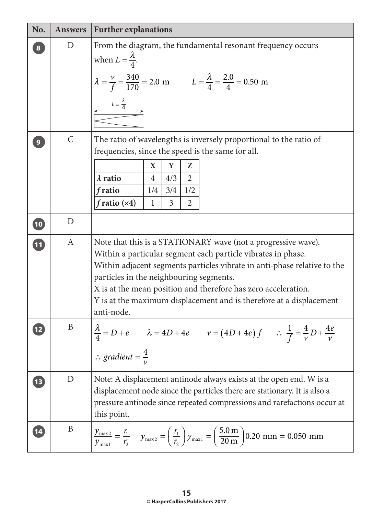| No.             | <b>Answers</b>   | <b>Further explanations</b>                                                                                                                                                                                                                                                                                                                                                                                 |
|-----------------|------------------|-------------------------------------------------------------------------------------------------------------------------------------------------------------------------------------------------------------------------------------------------------------------------------------------------------------------------------------------------------------------------------------------------------------|
| $\bf{8}$        | D                | From the diagram, the fundamental resonant frequency occurs<br>when $L = \frac{\lambda}{4}$ .<br>$\lambda = \frac{v}{f} = \frac{340}{170} = 2.0 \text{ m}$ $L = \frac{\lambda}{4} = \frac{2.0}{4} = 0.50 \text{ m}$<br>$L = \frac{\lambda}{4}$                                                                                                                                                              |
| $\mathbf{9}$    | $\mathcal{C}$    | The ratio of wavelengths is inversely proportional to the ratio of<br>frequencies, since the speed is the same for all.<br>$\mathbf X$<br>Y<br>Z<br>$\lambda$ ratio<br>$\overline{2}$<br>4/3<br>$\overline{4}$<br>1/2<br>fratio<br>1/4<br>3/4<br>$fratio$ ( $\times 4$ )<br>$\overline{3}$<br>$\overline{2}$<br>$\mathbf{1}$                                                                                |
| 10              | D                |                                                                                                                                                                                                                                                                                                                                                                                                             |
| 11              | $\boldsymbol{A}$ | Note that this is a STATIONARY wave (not a progressive wave).<br>Within a particular segment each particle vibrates in phase.<br>Within adjacent segments particles vibrate in anti-phase relative to the<br>particles in the neighbouring segments.<br>X is at the mean position and therefore has zero acceleration.<br>Y is at the maximum displacement and is therefore at a displacement<br>anti-node. |
|                 | B                | $\frac{\lambda}{4} = D + e$ $\lambda = 4D + 4e$ $v = (4D + 4e) f$ $\therefore \frac{1}{f} = \frac{4}{v} D + \frac{4e}{v}$<br>$\therefore \text{ gradient} = \frac{4}{v}$                                                                                                                                                                                                                                    |
| $\sqrt{13}$     | $\mathbf D$      | Note: A displacement antinode always exists at the open end. W is a<br>displacement node since the particles there are stationary. It is also a<br>pressure antinode since repeated compressions and rarefactions occur at<br>this point.                                                                                                                                                                   |
| $\overline{14}$ | $\mathbf{B}$     | $\frac{y_{\text{max2}}}{y_{\text{max1}}} = \frac{r_1}{r_2}$ $y_{\text{max2}} = \left(\frac{r_1}{r_2}\right) y_{\text{max1}} = \left(\frac{5.0 \text{ m}}{20 \text{ m}}\right) 0.20 \text{ mm} = 0.050 \text{ mm}$                                                                                                                                                                                           |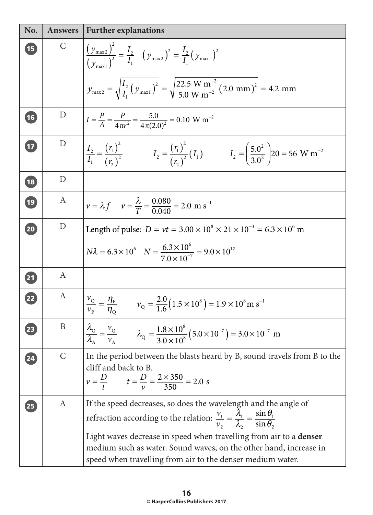| No.                      | <b>Answers</b> | <b>Further explanations</b>                                                                                                                                                     |
|--------------------------|----------------|---------------------------------------------------------------------------------------------------------------------------------------------------------------------------------|
| <b>15</b>                | $\mathsf{C}$   | $\left(\frac{y_{\text{max2}}}{y_{\text{max1}}^2}\right)^2 = \frac{I_2}{I_1} \left(y_{\text{max2}}\right)^2 = \frac{I_2}{I_1} \left(y_{\text{max1}}\right)^2$                    |
|                          |                | $y_{\text{max2}} = \sqrt{\frac{I_2}{I_1} (y_{\text{max1}})^2} = \sqrt{\frac{22.5 \text{ W m}^{-2}}{5.0 \text{ W m}^{-2}}} (2.0 \text{ mm})^2 = 4.2 \text{ mm}$                  |
| (16)                     | D              | $I = \frac{P}{A} = \frac{P}{4\pi r^2} = \frac{5.0}{4\pi (2.0)^2} = 0.10 \text{ W m}^{-2}$                                                                                       |
| $\overline{17}$          | D              | $\frac{I_2}{I_1} = \frac{(r_1)^2}{(r_2)^2}$ $I_2 = \frac{(r_1)^2}{(r_2)^2} (I_1)$ $I_2 = \frac{(5.0^2)}{3.0^2} 20 = 56 \text{ W m}^{-2}$                                        |
| 18                       | D              |                                                                                                                                                                                 |
| (19)                     | A              | $v = \lambda f$ $v = \frac{\lambda}{T} = \frac{0.080}{0.040} = 2.0$ m s <sup>-1</sup>                                                                                           |
| 20                       | D              | Length of pulse: $D = vt = 3.00 \times 10^8 \times 21 \times 10^{-3} = 6.3 \times 10^6$ m                                                                                       |
|                          |                | $N\lambda = 6.3 \times 10^6$ $N = \frac{6.3 \times 10^6}{7.0 \times 10^{-7}} = 9.0 \times 10^{12}$                                                                              |
| $\overline{\mathbf{21}}$ | $\mathbf{A}$   |                                                                                                                                                                                 |
| 22                       | A              | $\frac{v_{\rm Q}}{v_{\rm p}} = \frac{\eta_{\rm p}}{\eta_{\rm Q}}$ $v_{\rm Q} = \frac{2.0}{1.6} (1.5 \times 10^8) = 1.9 \times 10^8 \,\rm m\ s^{-1}$                             |
| 23                       | B              | $\frac{\lambda_{\rm Q}}{\lambda_{\rm A}} = \frac{v_{\rm Q}}{v_{\rm A}}$ $\lambda_{\rm Q} = \frac{1.8 \times 10^8}{3.0 \times 10^8} (5.0 \times 10^{-7}) = 3.0 \times 10^{-7}$ m |
| 24                       | $\mathsf{C}$   | In the period between the blasts heard by B, sound travels from B to the<br>cliff and back to B.                                                                                |
|                          |                | $v = \frac{D}{t}$ $t = \frac{D}{v} = \frac{2 \times 350}{350} = 2.0$ s                                                                                                          |
| 25                       | A              | If the speed decreases, so does the wavelength and the angle of                                                                                                                 |
|                          |                | refraction according to the relation: $\frac{v_1}{v_2} = \frac{\lambda_1}{\lambda_2} = \frac{\sin \theta_1}{\sin \theta_2}$                                                     |
|                          |                | Light waves decrease in speed when travelling from air to a denser                                                                                                              |
|                          |                | medium such as water. Sound waves, on the other hand, increase in<br>speed when travelling from air to the denser medium water.                                                 |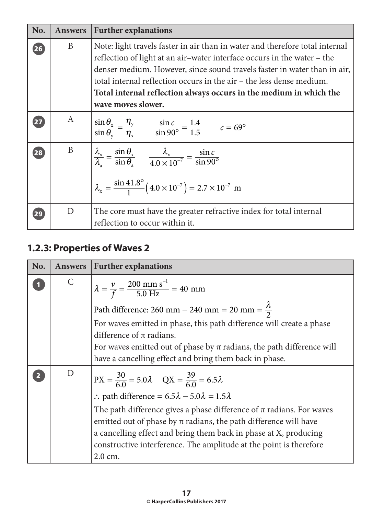| No. | <b>Answers</b> | <b>Further explanations</b>                                                                                                                                                                                                                                                                                                                                                                             |
|-----|----------------|---------------------------------------------------------------------------------------------------------------------------------------------------------------------------------------------------------------------------------------------------------------------------------------------------------------------------------------------------------------------------------------------------------|
| 26  | B              | Note: light travels faster in air than in water and therefore total internal<br>reflection of light at an air-water interface occurs in the water – the<br>denser medium. However, since sound travels faster in water than in air,<br>total internal reflection occurs in the air – the less dense medium.<br>Total internal reflection always occurs in the medium in which the<br>wave moves slower. |
| 27  | $\mathbf{A}$   | $\frac{\sin \theta_x}{\sin \theta_y} = \frac{\eta_y}{\eta_x}$ $\frac{\sin c}{\sin 90^\circ} = \frac{1.4}{1.5}$ $c = 69^\circ$                                                                                                                                                                                                                                                                           |
| 28  | B              | $\frac{\lambda_x}{\lambda_x} = \frac{\sin \theta_x}{\sin \theta_x}$ $\frac{\lambda_x}{4.0 \times 10^{-7}} = \frac{\sin c}{\sin 90^\circ}$<br>$\lambda_x = \frac{\sin 41.8^{\circ}}{1} (4.0 \times 10^{-7}) = 2.7 \times 10^{-7}$ m                                                                                                                                                                      |
| 29  | D              | The core must have the greater refractive index for total internal<br>reflection to occur within it.                                                                                                                                                                                                                                                                                                    |

# **1.2.3: Properties of Waves 2**

| No. | Answers | <b>Further explanations</b>                                                            |
|-----|---------|----------------------------------------------------------------------------------------|
|     | C       | $\lambda = \frac{v}{f} = \frac{200 \text{ mm s}^{-1}}{5.0 \text{ Hz}} = 40 \text{ mm}$ |
|     |         | Path difference: 260 mm – 240 mm = 20 mm = $\frac{\lambda}{2}$                         |
|     |         | For waves emitted in phase, this path difference will create a phase                   |
|     |         | difference of $\pi$ radians.                                                           |
|     |         | For waves emitted out of phase by $\pi$ radians, the path difference will              |
|     |         | have a cancelling effect and bring them back in phase.                                 |
|     | D       | $\vert$ PX = $\frac{30}{60}$ = 5.0 $\lambda$ QX = $\frac{39}{60}$ = 6.5 $\lambda$      |
|     |         | : path difference = $6.5\lambda - 5.0\lambda = 1.5\lambda$                             |
|     |         | The path difference gives a phase difference of $\pi$ radians. For waves               |
|     |         | emitted out of phase by $\pi$ radians, the path difference will have                   |
|     |         | a cancelling effect and bring them back in phase at X, producing                       |
|     |         | constructive interference. The amplitude at the point is therefore                     |
|     |         | 2.0 cm.                                                                                |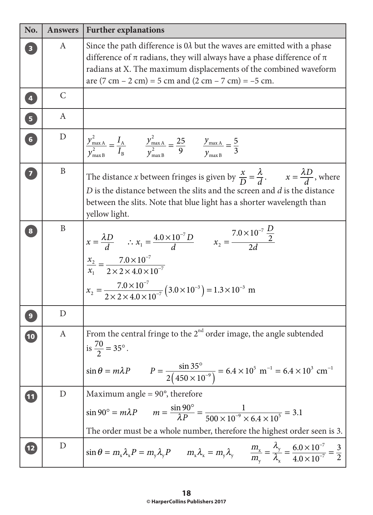| No.                     | <b>Answers</b> | <b>Further explanations</b>                                                                                                                                                                                                                                                                                                                      |
|-------------------------|----------------|--------------------------------------------------------------------------------------------------------------------------------------------------------------------------------------------------------------------------------------------------------------------------------------------------------------------------------------------------|
|                         | A              | Since the path difference is $0\lambda$ but the waves are emitted with a phase<br>difference of $\pi$ radians, they will always have a phase difference of $\pi$<br>radians at X. The maximum displacements of the combined waveform<br>are $(7 \text{ cm} - 2 \text{ cm}) = 5 \text{ cm}$ and $(2 \text{ cm} - 7 \text{ cm}) = -5 \text{ cm}$ . |
| $\overline{\mathbf{4}}$ | $\mathsf{C}$   |                                                                                                                                                                                                                                                                                                                                                  |
| $\overline{\mathbf{5}}$ | A              |                                                                                                                                                                                                                                                                                                                                                  |
| $\overline{\mathbf{6}}$ | D              | $\frac{y_{\text{max A}}^2}{y_{\text{max B}}^2} = \frac{I_A}{I_B}$ $\frac{y_{\text{max A}}^2}{y_{\text{max B}}^2} = \frac{25}{9}$ $\frac{y_{\text{max A}}}{y_{\text{max B}}^2} = \frac{5}{3}$                                                                                                                                                     |
| $\overline{\mathbf{z}}$ | $\mathbf{B}$   | The distance <i>x</i> between fringes is given by $\frac{x}{D} = \frac{\lambda}{d}$ . $x = \frac{\lambda D}{d}$ , where<br>$D$ is the distance between the slits and the screen and $d$ is the distance<br>between the slits. Note that blue light has a shorter wavelength than<br>yellow light.                                                |
| 8                       | $\mathbf{B}$   | $x = \frac{\lambda D}{d}$ : $x_1 = \frac{4.0 \times 10^{-7} D}{d}$ $x_2 = \frac{7.0 \times 10^{-7} \frac{D}{2}}{24}$<br>$\frac{x_2}{x_1} = \frac{7.0 \times 10^{-7}}{2 \times 2 \times 4.0 \times 10^{-7}}$<br>$x_2 = \frac{7.0 \times 10^{-7}}{2 \times 2 \times 4.0 \times 10^{-7}} (3.0 \times 10^{-3}) = 1.3 \times 10^{-3}$ m               |
|                         | D              |                                                                                                                                                                                                                                                                                                                                                  |
| $\sqrt{10}$             |                | From the central fringe to the $2nd$ order image, the angle subtended<br>is $\frac{70}{2} = 35^{\circ}$ .<br>$\sin \theta = m\lambda P$ $P = \frac{\sin 35^{\circ}}{2(450 \times 10^{-9})} = 6.4 \times 10^{5} \text{ m}^{-1} = 6.4 \times 10^{3} \text{ cm}^{-1}$                                                                               |
| $\overline{11}$         | $\mathbf D$    | Maximum angle $= 90^{\circ}$ , therefore<br>$\sin 90^\circ = m\lambda P$ $m = \frac{\sin 90^\circ}{\lambda P} = \frac{1}{500 \times 10^{-9} \times 6.4 \times 10^5} = 3.1$<br>The order must be a whole number, therefore the highest order seen is 3.                                                                                           |
| $\boxed{12}$            | D              | $\sin \theta = m_x \lambda_x P = m_y \lambda_y P$ $m_x \lambda_x = m_y \lambda_y$ $\frac{m_x}{m_y} = \frac{\lambda_y}{\lambda_x} = \frac{6.0 \times 10^{-7}}{4.0 \times 10^{-7}} = \frac{3}{2}$                                                                                                                                                  |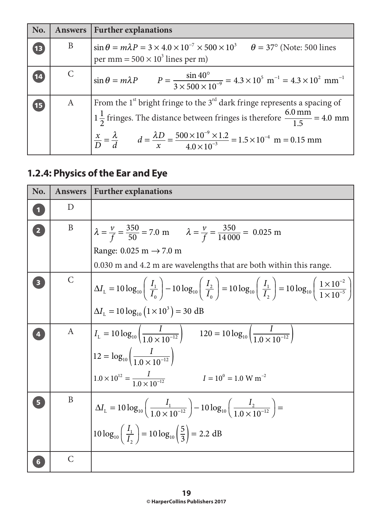| No.             | Answers      | <b>Further explanations</b>                                                                                                                                                                                                                                                                                                                                      |
|-----------------|--------------|------------------------------------------------------------------------------------------------------------------------------------------------------------------------------------------------------------------------------------------------------------------------------------------------------------------------------------------------------------------|
| $\overline{13}$ | B            | $\sin \theta = m\lambda P = 3 \times 4.0 \times 10^{-7} \times 500 \times 10^{3}$ $\theta = 37^{\circ}$ (Note: 500 lines<br>per mm = $500 \times 10^3$ lines per m)                                                                                                                                                                                              |
| 14              | $\mathsf{C}$ | $\sin \theta = m\lambda P$ $P = \frac{\sin 40^{\circ}}{3 \times 500 \times 10^{-9}} = 4.3 \times 10^{5} \text{ m}^{-1} = 4.3 \times 10^{2} \text{ mm}^{-1}$                                                                                                                                                                                                      |
| 15              | A            | From the 1 <sup>st</sup> bright fringe to the $3^{rd}$ dark fringe represents a spacing of<br>$1\frac{1}{2}$ fringes. The distance between fringes is therefore $\frac{6.0 \text{ mm}}{1.5}$ = 4.0 mm<br>$\frac{x}{D} = \frac{\lambda}{d}$ $d = \frac{\lambda D}{x} = \frac{500 \times 10^{-9} \times 1.2}{4.0 \times 10^{-3}} = 1.5 \times 10^{-4}$ m = 0.15 mm |

# **1.2.4: Physics of the Ear and Eye**

| No.                     | <b>Answers</b> | <b>Further explanations</b>                                                                                                                                                                                                               |
|-------------------------|----------------|-------------------------------------------------------------------------------------------------------------------------------------------------------------------------------------------------------------------------------------------|
| $\overline{\mathbf{1}}$ | D              |                                                                                                                                                                                                                                           |
| $\overline{\mathbf{2}}$ | B              | $\lambda = \frac{v}{f} = \frac{350}{50} = 7.0 \text{ m}$ $\lambda = \frac{v}{f} = \frac{350}{14000} = 0.025 \text{ m}$                                                                                                                    |
|                         |                | Range: $0.025 \text{ m} \rightarrow 7.0 \text{ m}$                                                                                                                                                                                        |
|                         |                | 0.030 m and 4.2 m are wavelengths that are both within this range.                                                                                                                                                                        |
|                         | $\mathcal{C}$  | $\left[\Delta I_{\rm L} = 10\log_{10}\left(\frac{I_{1}}{I_{0}}\right) - 10\log_{10}\left(\frac{I_{2}}{I_{0}}\right) = 10\log_{10}\left(\frac{I_{1}}{I_{2}}\right) = 10\log_{10}\left(\frac{1\times10^{-2}}{1\times10^{-5}}\right)\right]$ |
|                         |                | $\Delta I_L = 10 \log_{10} (1 \times 10^3) = 30$ dB                                                                                                                                                                                       |
|                         | $\mathbf{A}$   | $I_{\rm L} = 10 \log_{10} \left( \frac{I}{1.0 \times 10^{-12}} \right)$ $120 = 10 \log_{10} \left( \frac{I}{1.0 \times 10^{-12}} \right)$                                                                                                 |
|                         |                | $12 = log_{10}\left(\frac{I}{1.0 \times 10^{-12}}\right)$                                                                                                                                                                                 |
|                         |                | $1.0 \times 10^{12} = \frac{I}{1.0 \times 10^{-12}}$<br>$I = 10^{0} = 1.0 \text{ W m}^{-2}$                                                                                                                                               |
| 5                       | B              | $\Delta I_{\rm L} = 10 \log_{10} \left( \frac{I_1}{1.0 \times 10^{-12}} \right) - 10 \log_{10} \left( \frac{I_2}{1.0 \times 10^{-12}} \right) =$                                                                                          |
|                         |                | $10 \log_{10} \left( \frac{I_1}{I_2} \right) = 10 \log_{10} \left( \frac{5}{3} \right) = 2.2 \text{ dB}$                                                                                                                                  |
|                         | $\mathsf{C}$   |                                                                                                                                                                                                                                           |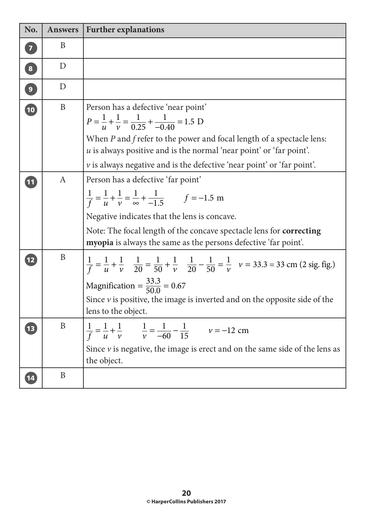| No.                      | <b>Answers</b> | <b>Further explanations</b>                                                                                                                                                                                                                                                                                             |
|--------------------------|----------------|-------------------------------------------------------------------------------------------------------------------------------------------------------------------------------------------------------------------------------------------------------------------------------------------------------------------------|
| $\overline{\mathbf{z}}$  | B              |                                                                                                                                                                                                                                                                                                                         |
| $\boxed{8}$              | D              |                                                                                                                                                                                                                                                                                                                         |
| $\mathbf{g}$             | D              |                                                                                                                                                                                                                                                                                                                         |
| 10                       | B              | Person has a defective 'near point'<br>$P = \frac{1}{u} + \frac{1}{v} = \frac{1}{0.25} + \frac{1}{-0.40} = 1.5 \text{ D}$<br>When $P$ and $f$ refer to the power and focal length of a spectacle lens:<br>$u$ is always positive and is the normal 'near point' or 'far point'.                                         |
|                          |                | $\nu$ is always negative and is the defective 'near point' or 'far point'.                                                                                                                                                                                                                                              |
| $\overline{\mathbf{11}}$ | A              | Person has a defective 'far point'<br>$\frac{1}{f} = \frac{1}{u} + \frac{1}{v} = \frac{1}{\infty} + \frac{1}{-1.5}$ $f = -1.5$ m<br>Negative indicates that the lens is concave.<br>Note: The focal length of the concave spectacle lens for <b>correcting</b>                                                          |
|                          |                | myopia is always the same as the persons defective 'far point'.                                                                                                                                                                                                                                                         |
| $\boxed{12}$             | B              | $\frac{1}{f} = \frac{1}{u} + \frac{1}{v}$ $\frac{1}{20} = \frac{1}{50} + \frac{1}{v}$ $\frac{1}{20} - \frac{1}{50} = \frac{1}{v}$ $v = 33.3 = 33$ cm (2 sig. fig.)<br>Magnification = $\frac{33.3}{50.0}$ = 0.67<br>Since $v$ is positive, the image is inverted and on the opposite side of the<br>lens to the object. |
|                          | B              | 1<br>$-1$<br>$\mathbf{1}$<br>$\mathbf{I}$<br>1, 1<br>$v = -12$ cm<br>$\frac{1}{u}$ + $\frac{1}{v}$<br>$\frac{1}{v} = \frac{1}{-60} - \frac{1}{15}$<br>Since $v$ is negative, the image is erect and on the same side of the lens as<br>the object.                                                                      |
| 14                       | $\, {\bf B}$   |                                                                                                                                                                                                                                                                                                                         |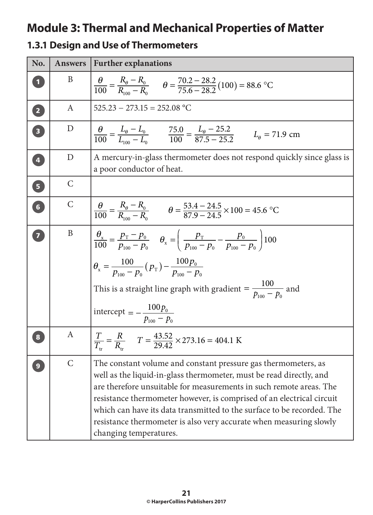# **Module 3: Thermal and Mechanical Properties of Matter**

#### **1.3.1 Design and Use of Thermometers**

| No.                     | <b>Answers</b>              | <b>Further explanations</b>                                                                                                                                                                                                                                                                                                                                                                                                                                               |
|-------------------------|-----------------------------|---------------------------------------------------------------------------------------------------------------------------------------------------------------------------------------------------------------------------------------------------------------------------------------------------------------------------------------------------------------------------------------------------------------------------------------------------------------------------|
|                         | B                           | $\frac{\theta}{100} = \frac{K_{\theta} - K_{0}}{R_{\text{on}} - R_{0}}$ $\theta = \frac{70.2 - 28.2}{75.6 - 28.2} (100) = 88.6 \text{ °C}$                                                                                                                                                                                                                                                                                                                                |
| 2                       | A                           | $525.23 - 273.15 = 252.08 °C$                                                                                                                                                                                                                                                                                                                                                                                                                                             |
| $\overline{\mathbf{B}}$ | D                           | $\frac{\theta}{100} = \frac{L_{\theta} - L_0}{L_{100} - L_0}$ $\frac{75.0}{100} = \frac{L_{\theta} - 25.2}{87.5 - 25.2}$ $L_{\theta} = 71.9$ cm                                                                                                                                                                                                                                                                                                                           |
| 4                       | D                           | A mercury-in-glass thermometer does not respond quickly since glass is<br>a poor conductor of heat.                                                                                                                                                                                                                                                                                                                                                                       |
| 6                       | $\mathcal{C}$               |                                                                                                                                                                                                                                                                                                                                                                                                                                                                           |
| 6                       | $\mathsf{C}$                | $\frac{\theta}{100} = \frac{R_{\theta} - R_{0}}{R_{\infty} - R_{0}}$ $\theta = \frac{53.4 - 24.5}{87.9 - 24.5} \times 100 = 45.6$ °C                                                                                                                                                                                                                                                                                                                                      |
| $\overline{7}$          | $\mathbf{B}$                | $\frac{\theta_{\rm x}}{100} = \frac{p_{\rm T} - p_{\rm 0}}{p_{\rm 100} - p_{\rm 0}}$ $\theta_{\rm x} = \left(\frac{p_{\rm T}}{p_{\rm 100} - p_{\rm 0}} - \frac{p_{\rm 0}}{p_{\rm 100} - p_{\rm 0}}\right)$ 100<br>$\theta_{\rm x} = \frac{100}{p_{\rm max} - p_{\rm o}} (p_{\rm T}) - \frac{100 p_{\rm o}}{p_{\rm min} - p_{\rm o}}$<br>This is a straight line graph with gradient = $\frac{100}{b_{\text{max}} - b_0}$ and<br>intercept = $-\frac{100p_0}{p_{100}-p_0}$ |
| 8                       | A                           | $\frac{T}{T_{tr}} = \frac{R}{R_{tr}}$ $T = \frac{43.52}{29.42} \times 273.16 = 404.1 \text{ K}$                                                                                                                                                                                                                                                                                                                                                                           |
| $\boldsymbol{9}$        | $\mathcal{C}_{\mathcal{L}}$ | The constant volume and constant pressure gas thermometers, as<br>well as the liquid-in-glass thermometer, must be read directly, and<br>are therefore unsuitable for measurements in such remote areas. The<br>resistance thermometer however, is comprised of an electrical circuit<br>which can have its data transmitted to the surface to be recorded. The<br>resistance thermometer is also very accurate when measuring slowly<br>changing temperatures.           |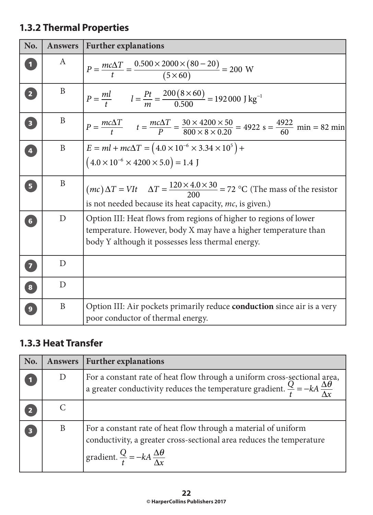## **1.3.2 Thermal Properties**

| No.                     | <b>Answers</b> | <b>Further explanations</b>                                                                                                                                                               |
|-------------------------|----------------|-------------------------------------------------------------------------------------------------------------------------------------------------------------------------------------------|
|                         | A              | $P = \frac{mc\Delta T}{t} = \frac{0.500 \times 2000 \times (80 - 20)}{(5 \times 60)} = 200$ W                                                                                             |
| 2 <sup>1</sup>          | B              | $P = \frac{ml}{t}$ $l = \frac{Pt}{m} = \frac{200(8 \times 60)}{0.500} = 192000 \text{ J kg}^{-1}$                                                                                         |
| $\overline{\mathbf{3}}$ | B              | $P = \frac{mc\Delta T}{t}$ $t = \frac{mc\Delta T}{P} = \frac{30 \times 4200 \times 50}{800 \times 8 \times 0.20} = 4922$ s = $\frac{4922}{60}$ min = 82 min                               |
| $\overline{4}$          | B              | $E = ml + mc\Delta T = (4.0 \times 10^{-6} \times 3.34 \times 10^{5}) +$<br>$(4.0 \times 10^{-6} \times 4200 \times 5.0) = 1.4$ J                                                         |
| 5 <sup>1</sup>          | B              | $(mc)\Delta T = VIt$ $\Delta T = \frac{120 \times 4.0 \times 30}{200} = 72$ °C (The mass of the resistor<br>is not needed because its heat capacity, mc, is given.)                       |
| $6\phantom{1}$          | D              | Option III: Heat flows from regions of higher to regions of lower<br>temperature. However, body X may have a higher temperature than<br>body Y although it possesses less thermal energy. |
| $\overline{\mathbf{z}}$ | D              |                                                                                                                                                                                           |
| $\boxed{8}$             | D              |                                                                                                                                                                                           |
| 9                       | B              | Option III: Air pockets primarily reduce <b>conduction</b> since air is a very<br>poor conductor of thermal energy.                                                                       |

#### **1.3.3 Heat Transfer**

| No. | <b>Answers</b> | <b>Further explanations</b>                                                                                                                                                                            |
|-----|----------------|--------------------------------------------------------------------------------------------------------------------------------------------------------------------------------------------------------|
|     | D              | For a constant rate of heat flow through a uniform cross-sectional area,<br>a greater conductivity reduces the temperature gradient. $\frac{Q}{t} = -kA \frac{\Delta \theta}{\Delta x}$                |
|     |                |                                                                                                                                                                                                        |
|     | B              | For a constant rate of heat flow through a material of uniform<br>conductivity, a greater cross-sectional area reduces the temperature<br>gradient. $\frac{Q}{t} = -kA \frac{\Delta \theta}{\Delta x}$ |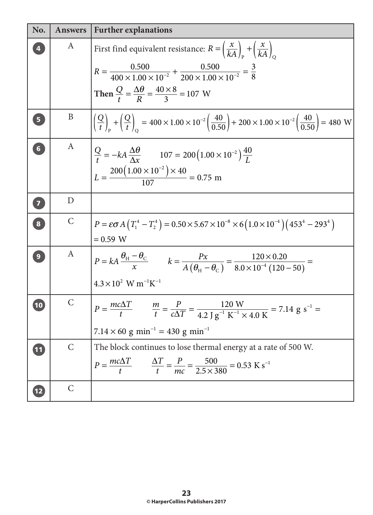| No.                     | <b>Answers</b>   | <b>Further explanations</b>                                                                                                                                                                                                                                                                         |
|-------------------------|------------------|-----------------------------------------------------------------------------------------------------------------------------------------------------------------------------------------------------------------------------------------------------------------------------------------------------|
|                         | A                | First find equivalent resistance: $R = \left(\frac{x}{kA}\right)_x + \left(\frac{x}{kA}\right)_c$<br>$R = \frac{0.500}{400 \times 1.00 \times 10^{-2}} + \frac{0.500}{200 \times 1.00 \times 10^{-2}} = \frac{3}{8}$<br>Then $\frac{Q}{t} = \frac{\Delta\theta}{R} = \frac{40 \times 8}{3} = 107$ W |
| $5\phantom{.}$          | $\boldsymbol{B}$ | $\left  \left( \frac{Q}{t} \right)_x + \left( \frac{Q}{t} \right) \right  = 400 \times 1.00 \times 10^{-2} \left( \frac{40}{0.50} \right) + 200 \times 1.00 \times 10^{-2} \left( \frac{40}{0.50} \right) = 480 \text{ W}$                                                                          |
| $6\phantom{a}$          | A                | $\frac{Q}{t} = -kA \frac{\Delta \theta}{\Delta x}$ 107 = 200 $(1.00 \times 10^{-2}) \frac{40}{l}$<br>$L = \frac{200(1.00 \times 10^{-2}) \times 40}{107} = 0.75$ m                                                                                                                                  |
| $\overline{7}$          | D                |                                                                                                                                                                                                                                                                                                     |
| $\overline{\mathbf{8}}$ | $\mathsf C$      | $\left[ P = \varepsilon \sigma A \left( T_1^4 - T_2^4 \right) = 0.50 \times 5.67 \times 10^{-8} \times 6 \left( 1.0 \times 10^{-4} \right) \left( 453^4 - 293^4 \right) \right]$<br>$= 0.59 W$                                                                                                      |
| $\overline{9}$          | A                | $P = kA \frac{\theta_{\text{H}} - \theta_{\text{C}}}{x}$ $k = \frac{Px}{A(\theta_{\text{H}} - \theta_{\text{C}})} = \frac{120 \times 0.20}{8.0 \times 10^{-4} (120 - 50)} =$<br>$4.3 \times 10^{2}$ W m <sup>-1</sup> K <sup>-1</sup>                                                               |
| 10                      | $\mathsf{C}$     | $P = \frac{mc\Delta T}{t}$ $\frac{m}{t} = \frac{P}{c\Delta T} = \frac{120 \text{ W}}{4.2 \text{ J g}^{-1} \text{ K}^{-1} \times 4.0 \text{ K}} = 7.14 \text{ g s}^{-1} =$<br>$7.14 \times 60$ g min <sup>-1</sup> = 430 g min <sup>-1</sup>                                                         |
| $\boxed{11}$            | $\mathsf{C}$     | The block continues to lose thermal energy at a rate of 500 W.<br>$P = \frac{mc\Delta T}{t}$ $\frac{\Delta T}{t} = \frac{P}{mc} = \frac{500}{2.5 \times 380} = 0.53 \text{ K s}^{-1}$                                                                                                               |
| $\overline{12}$         | $\mathsf{C}$     |                                                                                                                                                                                                                                                                                                     |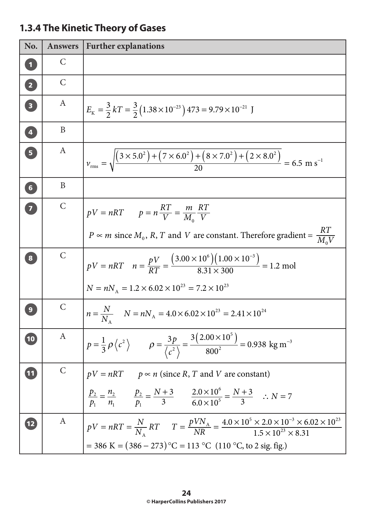# **1.3.4 The Kinetic Theory of Gases**

| No.                               | <b>Answers</b>   | <b>Further explanations</b>                                                                                                                                                                                                          |
|-----------------------------------|------------------|--------------------------------------------------------------------------------------------------------------------------------------------------------------------------------------------------------------------------------------|
|                                   | $\mathcal{C}$    |                                                                                                                                                                                                                                      |
| $\boxed{2}$                       | $\mathcal{C}$    |                                                                                                                                                                                                                                      |
| $\overline{\mathbf{3}}$           | A                | $E_{\rm K} = \frac{3}{2} kT = \frac{3}{2} (1.38 \times 10^{-23}) 473 = 9.79 \times 10^{-21}$ J                                                                                                                                       |
| $\overline{4}$                    | B                |                                                                                                                                                                                                                                      |
| $\overline{5}$                    | $\boldsymbol{A}$ | $v_{\text{rms}} = \sqrt{\frac{(3 \times 5.0^2) + (7 \times 6.0^2) + (8 \times 7.0^2) + (2 \times 8.0^2)}{20}} = 6.5 \text{ m s}^{-1}$                                                                                                |
| 6 <sup>1</sup>                    | B                |                                                                                                                                                                                                                                      |
| $\begin{bmatrix} 7 \end{bmatrix}$ | $\mathcal{C}$    | $pV = nRT$ $p = n\frac{RT}{V} = \frac{m}{M_0}\frac{RT}{V}$                                                                                                                                                                           |
|                                   |                  | $P \approx m$ since $M_0$ , R, T and V are constant. Therefore gradient = $\frac{RT}{M_0V}$                                                                                                                                          |
|                                   | $\mathsf{C}$     | $pV = nRT$ $n = \frac{pV}{RT} = \frac{(3.00 \times 10^6)(1.00 \times 10^{-3})}{8.31 \times 300} = 1.2$ mol                                                                                                                           |
|                                   |                  | $N = nN_A = 1.2 \times 6.02 \times 10^{23} = 7.2 \times 10^{23}$                                                                                                                                                                     |
|                                   | $\mathcal{C}$    | $n = \frac{N}{N}$ $N = nN_A = 4.0 \times 6.02 \times 10^{23} = 2.41 \times 10^{24}$                                                                                                                                                  |
| (10)                              | A                | $p = \frac{1}{3}\rho \langle c^2 \rangle$ $\rho = \frac{3p}{\langle c^2 \rangle} = \frac{3(2.00 \times 10^5)}{800^2} = 0.938 \text{ kg m}^{-3}$                                                                                      |
| 11                                |                  |                                                                                                                                                                                                                                      |
|                                   |                  | $pV = nRT$ $p \propto n$ (since <i>R</i> , <i>T</i> and <i>V</i> are constant)<br>$\frac{p_2}{p_1} = \frac{n_2}{n_1}$ $\frac{p_2}{p_1} = \frac{N+3}{3}$ $\frac{2.0 \times 10^6}{6.0 \times 10^5} = \frac{N+3}{3}$ $\therefore N = 7$ |
| 12                                |                  | A $PV = nRT = \frac{N}{N_A}RT$ $T = \frac{pVN_A}{NR} = \frac{4.0 \times 10^5 \times 2.0 \times 10^{-3} \times 6.02 \times 10^{23}}{1.5 \times 10^{23} \times 8.31}$<br>= 386 K = $(386 – 273)$ °C = 113 °C (110 °C, to 2 sig. fig.)  |
|                                   |                  |                                                                                                                                                                                                                                      |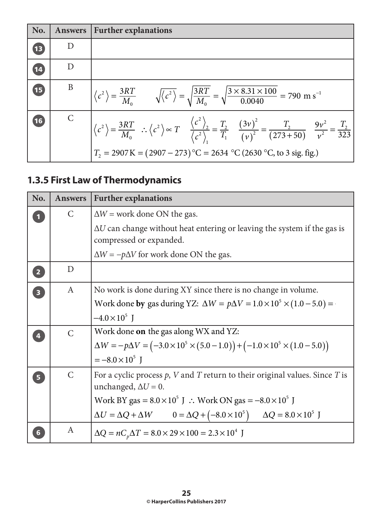| No.  | <b>Answers</b> | <b>Further explanations</b>                                                                                                                                                                                                                                                                                                                          |
|------|----------------|------------------------------------------------------------------------------------------------------------------------------------------------------------------------------------------------------------------------------------------------------------------------------------------------------------------------------------------------------|
| (13) | $\Box$         |                                                                                                                                                                                                                                                                                                                                                      |
| 14   | D              |                                                                                                                                                                                                                                                                                                                                                      |
| 15   | B              | $\langle c^2 \rangle = \frac{3RT}{M_0}$ $\sqrt{\langle c^2 \rangle} = \sqrt{\frac{3RT}{M_0}} = \sqrt{\frac{3 \times 8.31 \times 100}{0.0040}} = 790 \text{ m s}^{-1}$                                                                                                                                                                                |
| (16) |                | $\langle c^2 \rangle = \frac{3RT}{M_0}$ : $\langle c^2 \rangle \propto T$ $\frac{\langle c^2 \rangle}{\langle c^2 \rangle} = \frac{T_2}{T_1}$ $\frac{(3\nu)^2}{(\nu)^2} = \frac{T_2}{(273+50)}$ $\frac{9\nu^2}{\nu^2} = \frac{T_2}{323}$<br>$T_2 = 2907 \text{ K} = (2907 - 273) \text{°C} = 2634 \text{°C} (2630 \text{°C}, \text{to 3 sig. fig.})$ |

# **1.3.5 First Law of Thermodynamics**

| No.                     | <b>Answers</b> | <b>Further explanations</b>                                                                                         |
|-------------------------|----------------|---------------------------------------------------------------------------------------------------------------------|
|                         | C              | $\Delta W$ = work done ON the gas.                                                                                  |
|                         |                | $\Delta U$ can change without heat entering or leaving the system if the gas is<br>compressed or expanded.          |
|                         |                | $\Delta W = -p\Delta V$ for work done ON the gas.                                                                   |
| $\overline{2}$          | D              |                                                                                                                     |
| $\overline{\mathbf{3}}$ | A              | No work is done during XY since there is no change in volume.                                                       |
|                         |                | Work done by gas during YZ: $\Delta W = p\Delta V = 1.0 \times 10^5 \times (1.0 - 5.0) =$                           |
|                         |                | $-4.0 \times 10^5$ J                                                                                                |
|                         | $\mathsf{C}$   | Work done <b>on</b> the gas along WX and YZ:                                                                        |
|                         |                | $\Delta W = -p\Delta V = (-3.0 \times 10^5 \times (5.0 - 1.0)) + (-1.0 \times 10^5 \times (1.0 - 5.0))$             |
|                         |                | $=-8.0\times10^{5}$ J                                                                                               |
|                         | $\mathsf{C}$   | For a cyclic process $p$ , $V$ and $T$ return to their original values. Since $T$ is<br>unchanged, $\Delta U = 0$ . |
|                         |                | Work BY gas = $8.0 \times 10^5$ J : Work ON gas = $-8.0 \times 10^5$ J                                              |
|                         |                | $\Delta U = \Delta Q + \Delta W$ $0 = \Delta Q + (-8.0 \times 10^5)$ $\Delta Q = 8.0 \times 10^5$ J                 |
|                         | A              | $\Delta Q = nC_p \Delta T = 8.0 \times 29 \times 100 = 2.3 \times 10^4$ J                                           |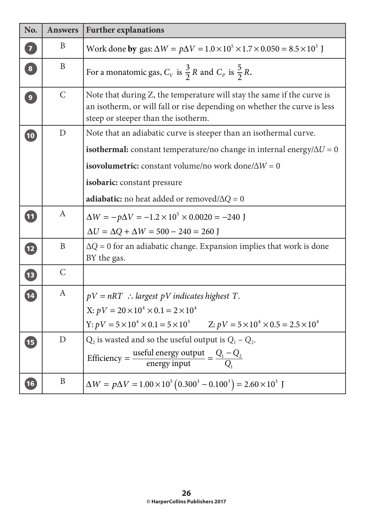| No.                      | <b>Answers</b> | <b>Further explanations</b>                                                                                                                                                               |
|--------------------------|----------------|-------------------------------------------------------------------------------------------------------------------------------------------------------------------------------------------|
| $\overline{\mathbf{z}}$  | B              | Work done by gas: $\Delta W = p\Delta V = 1.0 \times 10^5 \times 1.7 \times 0.050 = 8.5 \times 10^3$ J                                                                                    |
| $\overline{\mathbf{8}}$  | B              | For a monatomic gas, $C_V$ is $\frac{3}{2}R$ and $C_p$ is $\frac{5}{2}R$ .                                                                                                                |
| $\overline{9}$           | $\mathsf{C}$   | Note that during Z, the temperature will stay the same if the curve is<br>an isotherm, or will fall or rise depending on whether the curve is less<br>steep or steeper than the isotherm. |
| $\boxed{10}$             | D              | Note that an adiabatic curve is steeper than an isothermal curve.                                                                                                                         |
|                          |                | <b>isothermal:</b> constant temperature/no change in internal energy/ $\Delta U = 0$                                                                                                      |
|                          |                | isovolumetric: constant volume/no work done/ $\Delta W = 0$                                                                                                                               |
|                          |                | isobaric: constant pressure                                                                                                                                                               |
|                          |                | <b>adiabatic:</b> no heat added or removed/ $\Delta Q = 0$                                                                                                                                |
| $\boxed{11}$             | A              | $\Delta W = -p\Delta V = -1.2 \times 10^5 \times 0.0020 = -240$ J                                                                                                                         |
|                          |                | $\Delta U = \Delta Q + \Delta W = 500 - 240 = 260$ J                                                                                                                                      |
| $\overline{\mathbf{12}}$ | B              | $\Delta Q = 0$ for an adiabatic change. Expansion implies that work is done<br>BY the gas.                                                                                                |
| <b>13</b>                | $\mathsf{C}$   |                                                                                                                                                                                           |
| $\overline{\mathbf{14}}$ | A              | $pV = nRT$ : largest pV indicates highest T.                                                                                                                                              |
|                          |                | X: $pV = 20 \times 10^4 \times 0.1 = 2 \times 10^4$                                                                                                                                       |
|                          |                | Y: $pV = 5 \times 10^4 \times 0.1 = 5 \times 10^3$ Z: $pV = 5 \times 10^4 \times 0.5 = 2.5 \times 10^4$                                                                                   |
| 15                       | D              | $Q_2$ is wasted and so the useful output is $Q_1 - Q_2$ .<br>Efficiency = $\frac{\text{useful energy output}}{\text{energy input}} = \frac{Q_1 - Q_2}{Q_1}$                               |
| $\boxed{16}$             | B              | $\Delta W = p\Delta V = 1.00 \times 10^5 (0.300^3 - 0.100^3) = 2.60 \times 10^3$ J                                                                                                        |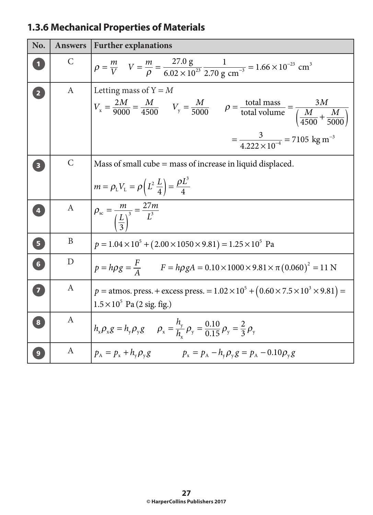## **1.3.6 Mechanical Properties of Materials**

| No.                               | <b>Answers</b>   | <b>Further explanations</b>                                                                                                                                                                                                                                          |
|-----------------------------------|------------------|----------------------------------------------------------------------------------------------------------------------------------------------------------------------------------------------------------------------------------------------------------------------|
|                                   | $\mathcal{C}$    | $p = \frac{m}{V}$ $V = \frac{m}{\rho} = \frac{27.0 \text{ g}}{6.02 \times 10^{23}} \frac{1}{2.70 \text{ g cm}^{-3}} = 1.66 \times 10^{-23} \text{ cm}^{3}$                                                                                                           |
| $\overline{2}$                    | $\mathbf{A}$     | Letting mass of $Y = M$<br>Letting mass $V_y = \frac{M}{5000}$ $V_y = \frac{M}{5000}$ $\rho = \frac{\text{total mass}}{\text{total volume}} = \frac{3Nl}{\left(\frac{M}{4500} + \frac{M}{5000}\right)}$<br>$=\frac{3}{4.222\times10^{-4}}$ = 7105 kg m <sup>-3</sup> |
| $\overline{\mathbf{3}}$           | $\mathsf{C}$     | Mass of small cube $=$ mass of increase in liquid displaced.<br>$m = \rho_{L} V_{L} = \rho \left( L^{2} \frac{L}{4} \right) = \frac{\rho L^{3}}{4}$                                                                                                                  |
| $\overline{4}$                    | A                | $\rho_{\rm sc} = \frac{m}{\left(\frac{L}{2}\right)^3} = \frac{27m}{L^3}$                                                                                                                                                                                             |
| $\overline{\mathbf{5}}$           | B                | $p = 1.04 \times 10^5 + (2.00 \times 1050 \times 9.81) = 1.25 \times 10^5$ Pa                                                                                                                                                                                        |
| $\begin{bmatrix} 6 \end{bmatrix}$ | $\mathbf D$      | $p = h\rho g = \frac{F}{A}$ $F = h\rho gA = 0.10 \times 1000 \times 9.81 \times \pi (0.060)^2 = 11 \text{ N}$                                                                                                                                                        |
| 7                                 | A                | $p =$ atmos. press. + excess press. = $1.02 \times 10^5 + (0.60 \times 7.5 \times 10^3 \times 9.81) =$<br>$1.5 \times 10^5$ Pa (2 sig. fig.)                                                                                                                         |
| $\bf{8}$                          | $\boldsymbol{A}$ | $h_x \rho_x g = h_y \rho_y g$ $\rho_x = \frac{h_y}{h} \rho_y = \frac{0.10}{0.15} \rho_y = \frac{2}{3} \rho_y$                                                                                                                                                        |
| $\overline{9}$                    | $\boldsymbol{A}$ | $p_{A} = p_{x} + h_{y} \rho_{y} g$ $p_{x} = p_{A} - h_{y} \rho_{y} g = p_{A} - 0.10 \rho_{y} g$                                                                                                                                                                      |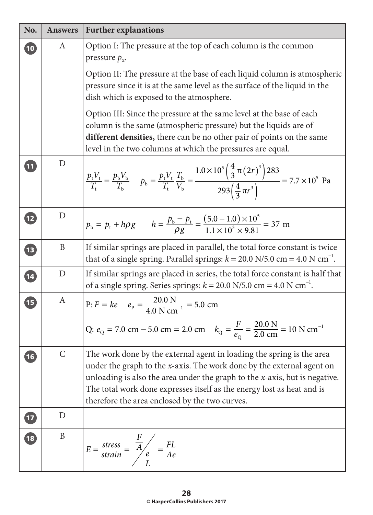| No.                      | <b>Answers</b> | <b>Further explanations</b>                                                                                                                                                                                                                                                                                                                                    |
|--------------------------|----------------|----------------------------------------------------------------------------------------------------------------------------------------------------------------------------------------------------------------------------------------------------------------------------------------------------------------------------------------------------------------|
| $\boxed{10}$             | A              | Option I: The pressure at the top of each column is the common<br>pressure $p_x$ .                                                                                                                                                                                                                                                                             |
|                          |                | Option II: The pressure at the base of each liquid column is atmospheric<br>pressure since it is at the same level as the surface of the liquid in the<br>dish which is exposed to the atmosphere.                                                                                                                                                             |
|                          |                | Option III: Since the pressure at the same level at the base of each<br>column is the same (atmospheric pressure) but the liquids are of<br>different densities, there can be no other pair of points on the same<br>level in the two columns at which the pressures are equal.                                                                                |
| $\boxed{11}$             | D              | $\frac{p_t V_t}{T_t} = \frac{p_b V_b}{T_b}$ $p_b = \frac{p_t V_t}{T_t} \frac{T_b}{V_b} = \frac{1.0 \times 10^5 \left(\frac{4}{3} \pi (2r)^3\right) 283}{293 \left(\frac{4}{3} \pi r^3\right)} = 7.7 \times 10^5$ Pa                                                                                                                                            |
| $\overline{12}$          | D              | $p_b = p_t + h\rho g$ $h = \frac{p_b - p_t}{\rho g} = \frac{(5.0 - 1.0) \times 10^5}{1.1 \times 10^3 \times 9.81} = 37 \text{ m}$                                                                                                                                                                                                                              |
| $\left( 13\right)$       | B              | If similar springs are placed in parallel, the total force constant is twice<br>that of a single spring. Parallel springs: $k = 20.0$ N/5.0 cm = 4.0 N cm <sup>-1</sup> .                                                                                                                                                                                      |
| $\overline{\mathbf{14}}$ | $\mathbf D$    | If similar springs are placed in series, the total force constant is half that<br>of a single spring. Series springs: $k = 20.0$ N/5.0 cm = 4.0 N cm <sup>-1</sup> .                                                                                                                                                                                           |
| 15                       | A              | $P: F = ke$ $e_p = \frac{20.0 \text{ N}}{4.0 \text{ N cm}^{-1}} = 5.0 \text{ cm}$<br>Q: $e_Q = 7.0 \text{ cm} - 5.0 \text{ cm} = 2.0 \text{ cm}$ $k_Q = \frac{F}{e_Q} = \frac{20.0 \text{ N}}{2.0 \text{ cm}} = 10 \text{ N cm}^{-1}$<br>$e_{\Omega}$                                                                                                          |
| $\overline{\mathbf{16}}$ | $\mathcal{C}$  | The work done by the external agent in loading the spring is the area<br>under the graph to the $x$ -axis. The work done by the external agent on<br>unloading is also the area under the graph to the $x$ -axis, but is negative.<br>The total work done expresses itself as the energy lost as heat and is<br>therefore the area enclosed by the two curves. |
| $\bullet$                | D              |                                                                                                                                                                                                                                                                                                                                                                |
| 18                       | B              | $E = \frac{stress}{strain} = \frac{\frac{F}{A}}{\frac{e}{I}} = \frac{FL}{Ae}$                                                                                                                                                                                                                                                                                  |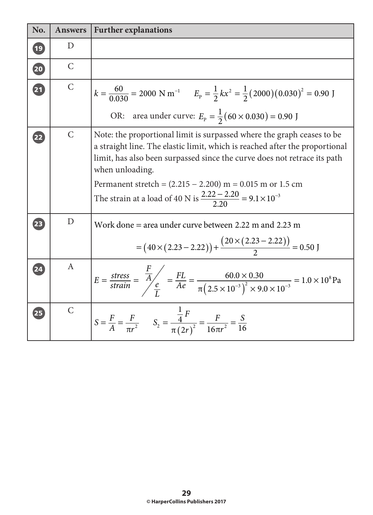| No.                      | <b>Answers</b> | <b>Further explanations</b>                                                                                                                                                                                                                                                                                                                                                                            |
|--------------------------|----------------|--------------------------------------------------------------------------------------------------------------------------------------------------------------------------------------------------------------------------------------------------------------------------------------------------------------------------------------------------------------------------------------------------------|
| $^{'}$ 19                | D              |                                                                                                                                                                                                                                                                                                                                                                                                        |
| 20                       | $\mathsf{C}$   |                                                                                                                                                                                                                                                                                                                                                                                                        |
| $\overline{\mathbf{21}}$ | $\mathsf{C}$   | $k = \frac{60}{0.030} = 2000 \text{ N m}^{-1}$ $E_p = \frac{1}{2} kx^2 = \frac{1}{2} (2000) (0.030)^2 = 0.90 \text{ J}$                                                                                                                                                                                                                                                                                |
|                          |                | OR: area under curve: $E_p = \frac{1}{2}(60 \times 0.030) = 0.90$ J                                                                                                                                                                                                                                                                                                                                    |
| $\mathbf{22}$            | $\mathsf{C}$   | Note: the proportional limit is surpassed where the graph ceases to be<br>a straight line. The elastic limit, which is reached after the proportional<br>limit, has also been surpassed since the curve does not retrace its path<br>when unloading.<br>Permanent stretch = $(2.215 - 2.200)$ m = 0.015 m or 1.5 cm<br>The strain at a load of 40 N is $\frac{2.22 - 2.20}{2.20} = 9.1 \times 10^{-3}$ |
|                          |                |                                                                                                                                                                                                                                                                                                                                                                                                        |
| 23                       | D              | Work done = area under curve between $2.22$ m and $2.23$ m<br>$=(40\times(2.23-2.22))+\frac{(20\times(2.23-2.22))}{2}=0.50$ J                                                                                                                                                                                                                                                                          |
| $\overline{24}$          | $\mathbf{A}$   | $E = \frac{\text{stress}}{\text{strain}} = \frac{F}{A} \frac{E}{\phi} = \frac{FL}{Ae} = \frac{60.0 \times 0.30}{\pi (2.5 \times 10^{-3})^2 \times 9.0 \times 10^{-3}} = 1.0 \times 10^8 \text{Pa}$                                                                                                                                                                                                     |
| 25                       | $\mathsf{C}$   | $S = \frac{F}{A} = \frac{F}{\pi r^2}$ $S_2 = \frac{\frac{1}{4}F}{\pi (2r)^2} = \frac{F}{16\pi r^2} = \frac{S}{16}$                                                                                                                                                                                                                                                                                     |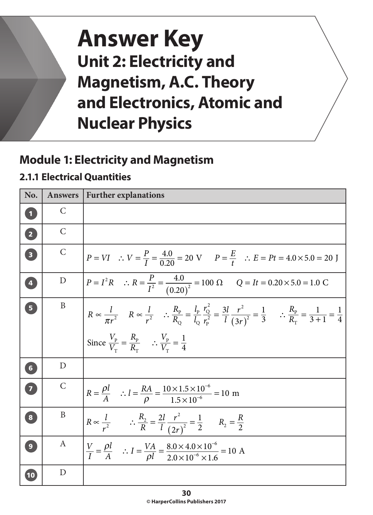# **Answer Key Unit 2: Electricity and Magnetism, A.C. Theory and Electronics, Atomic and Nuclear Physics**

# **Module 1: Electricity and Magnetism**

### **2.1.1 Electrical Quantities**

| No.                     | <b>Answers</b> | <b>Further explanations</b>                                                                                                                                                                                                                                                                                                                                       |
|-------------------------|----------------|-------------------------------------------------------------------------------------------------------------------------------------------------------------------------------------------------------------------------------------------------------------------------------------------------------------------------------------------------------------------|
| $\boxed{1}$             | $\mathcal{C}$  |                                                                                                                                                                                                                                                                                                                                                                   |
| $\boxed{2}$             | $\mathcal{C}$  |                                                                                                                                                                                                                                                                                                                                                                   |
| $\overline{\mathbf{3}}$ | $\mathcal{C}$  | $P = VI$ : $V = \frac{P}{I} = \frac{4.0}{0.20} = 20 \text{ V}$ $P = \frac{E}{t}$ : $E = Pt = 4.0 \times 5.0 = 20 \text{ J}$                                                                                                                                                                                                                                       |
| $\vert 4 \vert$         | D              | $P = I^2 R$ : $R = \frac{P}{I^2} = \frac{4.0}{(0.20)^2} = 100 \Omega$ $Q = It = 0.20 \times 5.0 = 1.0 \text{ C}$                                                                                                                                                                                                                                                  |
| $\boxed{5}$             | B              | $R \propto \frac{l}{\pi r^2}$ $R \propto \frac{l}{r^2}$ $\therefore \frac{R_p}{R_o} = \frac{l_p}{l_o} \frac{r_Q^2}{r_p^2} = \frac{3l}{l} \frac{r^2}{(3r)^2} = \frac{1}{3}$ $\therefore \frac{R_p}{R_r} = \frac{1}{3+1} = \frac{1}{4}$<br>Since $\frac{V_{\rm p}}{V_{\rm r}} = \frac{R_{\rm p}}{R_{\rm r}}$ $\therefore \frac{V_{\rm p}}{V_{\rm r}} = \frac{1}{4}$ |
| 6 <sup>1</sup>          | D              |                                                                                                                                                                                                                                                                                                                                                                   |
| $\overline{\mathbf{z}}$ | $\mathcal{C}$  | $R = \frac{\rho l}{A}$ : $l = \frac{RA}{\rho} = \frac{10 \times 1.5 \times 10^{-6}}{1.5 \times 10^{-6}} = 10$ m                                                                                                                                                                                                                                                   |
| $\overline{\mathbf{8}}$ | $\mathbf{B}$   | $R \propto \frac{l}{r^2}$ : $\frac{R_2}{R} = \frac{2l}{l} \frac{r^2}{(2r)^2} = \frac{1}{2}$ $R_2 = \frac{R}{2}$                                                                                                                                                                                                                                                   |
| 9                       | A              | $\frac{V}{I} = \frac{\rho l}{A}$ : $I = \frac{VA}{Ql} = \frac{8.0 \times 4.0 \times 10^{-6}}{2.0 \times 10^{-6} \times 1.6} = 10$ A                                                                                                                                                                                                                               |
| (10)                    | D              |                                                                                                                                                                                                                                                                                                                                                                   |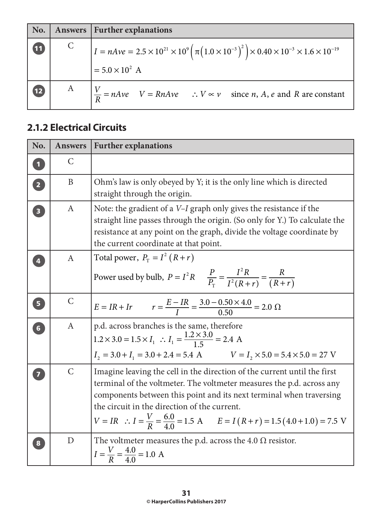|                 |              | No.   Answers   Further explanations                                                                                                                                                |
|-----------------|--------------|-------------------------------------------------------------------------------------------------------------------------------------------------------------------------------------|
| $\mathbf{U}$    | $\mathsf{C}$ | $I = nAve = 2.5 \times 10^{21} \times 10^{9} \left( \pi \left( 1.0 \times 10^{-3} \right)^2 \right) \times 0.40 \times 10^{-3} \times 1.6 \times 10^{-19}$<br>$= 5.0 \times 10^2$ A |
| $\overline{12}$ | $\mathbf{A}$ | $V = nAve$ $V = RnAve$ $\therefore$ $V \propto v$ since <i>n</i> , <i>A</i> , <i>e</i> and <i>R</i> are constant                                                                    |

#### **2.1.2 Electrical Circuits**

| No.                               | <b>Answers</b>   | <b>Further explanations</b>                                                                                                                                                                                                                                                                                                                                            |
|-----------------------------------|------------------|------------------------------------------------------------------------------------------------------------------------------------------------------------------------------------------------------------------------------------------------------------------------------------------------------------------------------------------------------------------------|
| $\overline{\mathbf{1}}$           | C                |                                                                                                                                                                                                                                                                                                                                                                        |
| $\overline{\mathbf{2}}$           | $\mathbf{B}$     | Ohm's law is only obeyed by Y; it is the only line which is directed<br>straight through the origin.                                                                                                                                                                                                                                                                   |
| $\overline{\mathbf{3}}$           | $\boldsymbol{A}$ | Note: the gradient of a <i>V-I</i> graph only gives the resistance if the<br>straight line passes through the origin. (So only for Y.) To calculate the<br>resistance at any point on the graph, divide the voltage coordinate by<br>the current coordinate at that point.                                                                                             |
|                                   | A                | Total power, $P_T = I^2 (R+r)$<br>Power used by bulb, $P = I^2 R$ $\frac{P}{P_r} = \frac{I^2 R}{I^2 (R+r)} = \frac{R}{(R+r)}$                                                                                                                                                                                                                                          |
| $\overline{\mathbf{5}}$           | $\mathsf{C}$     | $E = IR + Ir$ $r = \frac{E - IR}{I} = \frac{3.0 - 0.50 \times 4.0}{0.50} = 2.0 \Omega$                                                                                                                                                                                                                                                                                 |
| $\begin{bmatrix} 6 \end{bmatrix}$ | A                | p.d. across branches is the same, therefore<br>$1.2 \times 3.0 = 1.5 \times I_1$ : $I_1 = \frac{1.2 \times 3.0}{1.5} = 2.4$ A<br>$I_2 = 3.0 + I_1 = 3.0 + 2.4 = 5.4$ A $V = I_2 \times 5.0 = 5.4 \times 5.0 = 27$ V                                                                                                                                                    |
|                                   | $\mathsf{C}$     | Imagine leaving the cell in the direction of the current until the first<br>terminal of the voltmeter. The voltmeter measures the p.d. across any<br>components between this point and its next terminal when traversing<br>the circuit in the direction of the current.<br>$V = IR$ : $I = \frac{V}{R} = \frac{6.0}{4.0} = 1.5$ A $E = I(R+r) = 1.5(4.0+1.0) = 7.5$ V |
| 8                                 | D                | The voltmeter measures the p.d. across the 4.0 $\Omega$ resistor.<br>$I = \frac{V}{R} = \frac{4.0}{4.0} = 1.0 \text{ A}$                                                                                                                                                                                                                                               |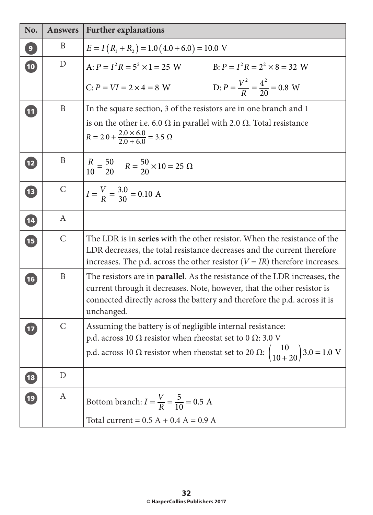| No.             | <b>Answers</b> | <b>Further explanations</b>                                                                                                                                                                                                                              |
|-----------------|----------------|----------------------------------------------------------------------------------------------------------------------------------------------------------------------------------------------------------------------------------------------------------|
| $\overline{9}$  | B              | $E = I(R_1 + R_2) = 1.0(4.0 + 6.0) = 10.0$ V                                                                                                                                                                                                             |
| $\boxed{10}$    | D              | A: $P = I^2 R = 5^2 \times 1 = 25$ W<br>B: $P = I^2 R = 2^2 \times 8 = 32$ W                                                                                                                                                                             |
|                 |                | D: $P = \frac{V^2}{R} = \frac{4^2}{20} = 0.8$ W<br>$C: P = VI = 2 \times 4 = 8$ W                                                                                                                                                                        |
| $\boxed{11}$    | $\mathbf{B}$   | In the square section, 3 of the resistors are in one branch and 1                                                                                                                                                                                        |
|                 |                | is on the other i.e. 6.0 $\Omega$ in parallel with 2.0 $\Omega$ . Total resistance<br>$R = 2.0 + \frac{2.0 \times 6.0}{2.0 + 6.0} = 3.5 \Omega$                                                                                                          |
| $\boxed{12}$    | B              | $\frac{R}{10} = \frac{50}{20}$ $R = \frac{50}{20} \times 10 = 25 \Omega$                                                                                                                                                                                 |
| 1B              | $\mathcal{C}$  | $I = \frac{V}{R} = \frac{3.0}{30} = 0.10$ A                                                                                                                                                                                                              |
| $\overline{14}$ | A              |                                                                                                                                                                                                                                                          |
| 15              | $\mathcal{C}$  | The LDR is in series with the other resistor. When the resistance of the<br>LDR decreases, the total resistance decreases and the current therefore<br>increases. The p.d. across the other resistor $(V = IR)$ therefore increases.                     |
| $\boxed{16}$    | $\mathbf{B}$   | The resistors are in <b>parallel</b> . As the resistance of the LDR increases, the<br>current through it decreases. Note, however, that the other resistor is<br>connected directly across the battery and therefore the p.d. across it is<br>unchanged. |
|                 | $\mathcal{C}$  | Assuming the battery is of negligible internal resistance:<br>p.d. across 10 $\Omega$ resistor when rheostat set to 0 $\Omega$ :3.0 V<br>p.d. across 10 $\Omega$ resistor when rheostat set to 20 $\Omega$ : $\left(\frac{10}{10+20}\right)$ 3.0 = 1.0 V |
| (18)            | D              |                                                                                                                                                                                                                                                          |
| $\boxed{19}$    | A              | Bottom branch: $I = \frac{V}{R} = \frac{5}{10} = 0.5$ A<br>Total current = $0.5 A + 0.4 A = 0.9 A$                                                                                                                                                       |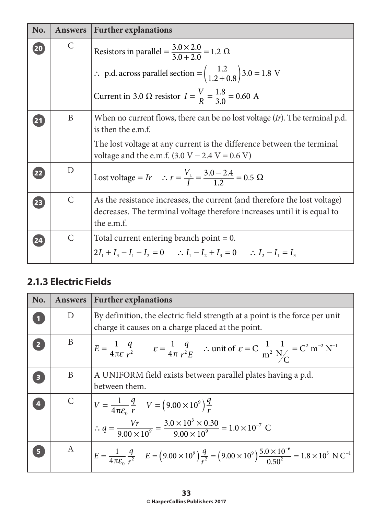| No. | <b>Answers</b> | <b>Further explanations</b>                                                                                                                                         |
|-----|----------------|---------------------------------------------------------------------------------------------------------------------------------------------------------------------|
| 20  | $\mathsf{C}$   | Resistors in parallel = $\frac{3.0 \times 2.0}{3.0 + 2.0}$ = 1.2 $\Omega$                                                                                           |
|     |                | $\therefore$ p.d. across parallel section = $\left(\frac{1.2}{1.2 + 0.8}\right)$ 3.0 = 1.8 V                                                                        |
|     |                | Current in 3.0 $\Omega$ resistor $I = \frac{V}{R} = \frac{1.8}{3.0} = 0.60$ A                                                                                       |
| 21  | B              | When no current flows, there can be no lost voltage $(Ir)$ . The terminal p.d.<br>is then the e.m.f.                                                                |
|     |                | The lost voltage at any current is the difference between the terminal<br>voltage and the e.m.f. $(3.0 V - 2.4 V = 0.6 V)$                                          |
| 22  | D              | Lost voltage = Ir $\therefore$ $r = \frac{V_L}{I} = \frac{3.0 - 2.4}{1.2} = 0.5 \Omega$                                                                             |
| 23  | $\mathsf{C}$   | As the resistance increases, the current (and therefore the lost voltage)<br>decreases. The terminal voltage therefore increases until it is equal to<br>the e.m.f. |
| 24  | $\mathsf{C}$   | Total current entering branch point $= 0$ .                                                                                                                         |
|     |                | $2I_1 + I_2 - I_1 - I_2 = 0$ : $I_1 - I_2 + I_3 = 0$ : $I_2 - I_1 = I_3$                                                                                            |

#### **2.1.3 Electric Fields**

| No.                     | <b>Answers</b> | <b>Further explanations</b>                                                                                                                                                                                      |
|-------------------------|----------------|------------------------------------------------------------------------------------------------------------------------------------------------------------------------------------------------------------------|
|                         | D              | By definition, the electric field strength at a point is the force per unit<br>charge it causes on a charge placed at the point.                                                                                 |
|                         | B              | $E = \frac{1}{4\pi\varepsilon} \frac{q}{r^2}$ $\varepsilon = \frac{1}{4\pi} \frac{q}{r^2 E}$ : unit of $\varepsilon = C \frac{1}{m^2} \frac{1}{N_C} = C^2 m^{-2} N^{-1}$                                         |
| $\overline{\mathbf{3}}$ | B              | A UNIFORM field exists between parallel plates having a p.d.<br>between them.                                                                                                                                    |
|                         |                | $V = \frac{1}{4\pi\varepsilon_0} \frac{q}{r}$ $V = (9.00 \times 10^9) \frac{q}{r}$<br>$\therefore q = \frac{Vr}{9.00 \times 10^9} = \frac{3.0 \times 10^3 \times 0.30}{9.00 \times 10^9} = 1.0 \times 10^{-7}$ C |
| 5 <sup>1</sup>          | A              | $E = \frac{1}{4\pi \varepsilon_0} \frac{q}{r^2}$ $E = (9.00 \times 10^9) \frac{q}{r^2} = (9.00 \times 10^9) \frac{5.0 \times 10^{-6}}{0.50^2} = 1.8 \times 10^5$ N C <sup>-1</sup>                               |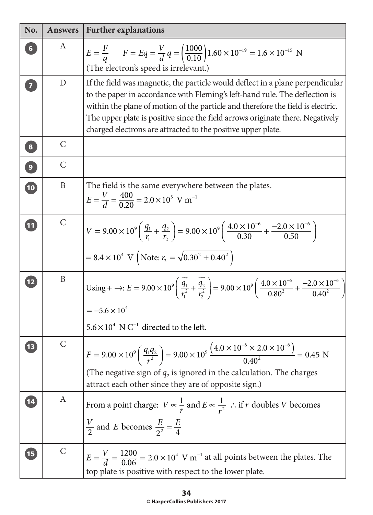| No.            | <b>Answers</b> | <b>Further explanations</b>                                                                                                                                                                                                                                                                                                                                                                        |
|----------------|----------------|----------------------------------------------------------------------------------------------------------------------------------------------------------------------------------------------------------------------------------------------------------------------------------------------------------------------------------------------------------------------------------------------------|
|                | A              | $E = \frac{F}{q}$ $F = Eq = \frac{V}{d}q = \left(\frac{1000}{0.10}\right)1.60 \times 10^{-19} = 1.6 \times 10^{-15}$ N<br>(The electron's speed is irrelevant.)                                                                                                                                                                                                                                    |
| $\overline{7}$ | D              | If the field was magnetic, the particle would deflect in a plane perpendicular<br>to the paper in accordance with Fleming's left-hand rule. The deflection is<br>within the plane of motion of the particle and therefore the field is electric.<br>The upper plate is positive since the field arrows originate there. Negatively<br>charged electrons are attracted to the positive upper plate. |
| 8              | $\mathsf{C}$   |                                                                                                                                                                                                                                                                                                                                                                                                    |
| $\overline{9}$ | $\mathsf{C}$   |                                                                                                                                                                                                                                                                                                                                                                                                    |
| $\boxed{10}$   | $\mathbf B$    | The field is the same everywhere between the plates.<br>$E = \frac{V}{A} = \frac{400}{0.30} = 2.0 \times 10^3$ V m <sup>-1</sup>                                                                                                                                                                                                                                                                   |
| 11             | $\mathcal{C}$  | $V = 9.00 \times 10^{9} \left( \frac{q_1}{r_1} + \frac{q_2}{r_2} \right) = 9.00 \times 10^{9} \left( \frac{4.0 \times 10^{-6}}{0.30} + \frac{-2.0 \times 10^{-6}}{0.50} \right)$<br>$= 8.4 \times 10^4$ V (Note: $r_2 = \sqrt{0.30^2 + 0.40^2}$ )                                                                                                                                                  |
| 12             | B              | Using + $\rightarrow$ : $E = 9.00 \times 10^{9} \left( \frac{\overrightarrow{q_1}}{r^2} + \frac{\overrightarrow{q_2}}{r^2} \right) = 9.00 \times 10^{9} \left( \frac{4.0 \times 10^{-6}}{0.80^2} + \frac{-2.0 \times 10^{-6}}{0.40^2} \right)$<br>= $-5.6 \times 10^4$<br>  $5.6 \times 10^4$ N C <sup>-1</sup> directed to the left.                                                              |
|                | $\mathsf{C}$   | $F = 9.00 \times 10^{9} \left( \frac{q_1 q_2}{r^2} \right) = 9.00 \times 10^{9} \frac{(4.0 \times 10^{-6} \times 2.0 \times 10^{-6})}{0.40^2} = 0.45 \text{ N}$<br>(The negative sign of $q_2$ is ignored in the calculation. The charges<br>attract each other since they are of opposite sign.)                                                                                                  |
|                | A              | From a point charge: $V \propto \frac{1}{r}$ and $E \propto \frac{1}{r^2}$ : if r doubles V becomes<br>$\frac{V}{2}$ and E becomes $\frac{E}{2^2} = \frac{E}{4}$                                                                                                                                                                                                                                   |
| 15             | $\mathsf{C}$   | $E = \frac{V}{d} = \frac{1200}{0.06} = 2.0 \times 10^4$ V m <sup>-1</sup> at all points between the plates. The<br>top plate is positive with respect to the lower plate.                                                                                                                                                                                                                          |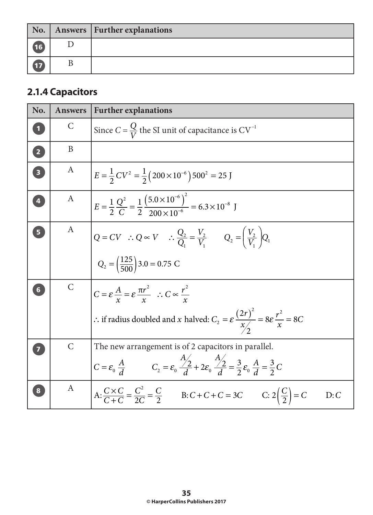|             | No.   Answers   Further explanations |
|-------------|--------------------------------------|
| (16)        |                                      |
| $\sqrt{17}$ |                                      |

# **2.1.4 Capacitors**

| No.                     | <b>Answers</b> | <b>Further explanations</b>                                                                                                                                                                                   |
|-------------------------|----------------|---------------------------------------------------------------------------------------------------------------------------------------------------------------------------------------------------------------|
|                         | $\mathsf{C}$   | Since $C = \frac{Q}{V}$ the SI unit of capacitance is $CV^{-1}$                                                                                                                                               |
| $\overline{2}$          | B              |                                                                                                                                                                                                               |
| $\overline{\mathbf{3}}$ | A              | $E = \frac{1}{2}CV^2 = \frac{1}{2}(200 \times 10^{-6}) 500^2 = 25$ J                                                                                                                                          |
| $\overline{4}$          | A              | $E = \frac{1}{2} \frac{Q^2}{C} = \frac{1}{2} \frac{(5.0 \times 10^{-6})^2}{200 \times 10^{-6}} = 6.3 \times 10^{-8}$ J                                                                                        |
|                         | $\mathbf{A}$   | $Q = CV \ :: Q \propto V \ :: \frac{Q_2}{Q_1} = \frac{V_2}{V_1} \qquad Q_2 = \left(\frac{V_2}{V_1}\right) Q_1$<br>$Q_2 = \left(\frac{125}{500}\right)3.0 = 0.75$ C                                            |
|                         | $\mathsf{C}$   | $C = \varepsilon \frac{A}{x} = \varepsilon \frac{\pi r^2}{x}$ : $C \propto \frac{r^2}{x}$<br>∴ if radius doubled and x halved: $C_2 = \varepsilon \frac{(2r)^2}{x} = 8\varepsilon \frac{r^2}{x} = 8C$         |
|                         | $\mathsf{C}$   | The new arrangement is of 2 capacitors in parallel.<br>$C = \varepsilon_0 \frac{A}{d}$ $C_2 = \varepsilon_0 \frac{A}{d} + 2\varepsilon_0 \frac{A}{d} = \frac{3}{2} \varepsilon_0 \frac{A}{d} = \frac{3}{2} C$ |
|                         | $\mathbf{A}$   | $A: \frac{C \times C}{C + C} = \frac{C^2}{2C} = \frac{C}{2}$ B: $C + C + C = 3C$ C: $2(\frac{C}{2}) = C$<br>D: C                                                                                              |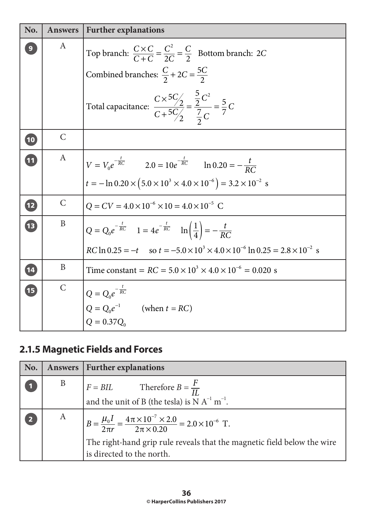| No.         | <b>Answers</b>   | <b>Further explanations</b>                                                                                                                                                     |
|-------------|------------------|---------------------------------------------------------------------------------------------------------------------------------------------------------------------------------|
|             | A                | Top branch: $\frac{C \times C}{C + C} = \frac{C^2}{2C} = \frac{C}{2}$ Bottom branch: 2C                                                                                         |
|             |                  | Combined branches: $\frac{C}{2} + 2C = \frac{5C}{2}$                                                                                                                            |
|             |                  | Total capacitance: $\frac{C \times {}^{5}C/2}{C + {}^{5}C/2} = \frac{2}{2} \frac{C^{2}}{C} = \frac{5}{7} C$                                                                     |
| (10)        | $\mathsf{C}$     |                                                                                                                                                                                 |
| 11          | $\boldsymbol{A}$ | $V = V_0 e^{-\frac{t}{RC}}$ 2.0 = 10 $e^{-\frac{t}{RC}}$ ln 0.20 = $-\frac{t}{RC}$<br>$t = -\ln 0.20 \times (5.0 \times 10^3 \times 4.0 \times 10^{-6}) = 3.2 \times 10^{-2}$ s |
|             |                  |                                                                                                                                                                                 |
| $\sqrt{12}$ | $\mathsf{C}$     | $Q = CV = 4.0 \times 10^{-6} \times 10 = 4.0 \times 10^{-5}$ C                                                                                                                  |
| 13          | $\mathbf B$      | $Q = Q_0 e^{-\frac{t}{RC}}$ $1 = 4e^{-\frac{t}{RC}}$ $\ln\left(\frac{1}{4}\right) = -\frac{t}{RC}$                                                                              |
|             |                  | $RC \ln 0.25 = -t$ so $t = -5.0 \times 10^3 \times 4.0 \times 10^{-6} \ln 0.25 = 2.8 \times 10^{-2}$ s                                                                          |
| (14)        | B                | Time constant = $RC = 5.0 \times 10^3 \times 4.0 \times 10^{-6} = 0.020$ s                                                                                                      |
| <b>IE</b>   | $\mathsf{C}$     | $Q = Q_0 e^{-\frac{t}{RC}}$<br>$Q = Q_0 e^{-1}$ (when $t = RC$ )<br>$Q = 0.37Q_0$                                                                                               |

# **2.1.5 Magnetic Fields and Forces**

| No. |              | Answers   Further explanations                                                                                                                                                                                                 |
|-----|--------------|--------------------------------------------------------------------------------------------------------------------------------------------------------------------------------------------------------------------------------|
|     | B            | $F = BIL$ Therefore $B = \frac{F}{IL}$<br>and the unit of B (the tesla) is N A <sup>-1</sup> m <sup>-1</sup> .                                                                                                                 |
|     | $\mathbf{A}$ | $B = \frac{\mu_0 I}{2\pi r} = \frac{4\pi \times 10^{-7} \times 2.0}{2\pi \times 0.20} = 2.0 \times 10^{-6} \text{ T}.$<br>The right-hand grip rule reveals that the magnetic field below the wire<br>is directed to the north. |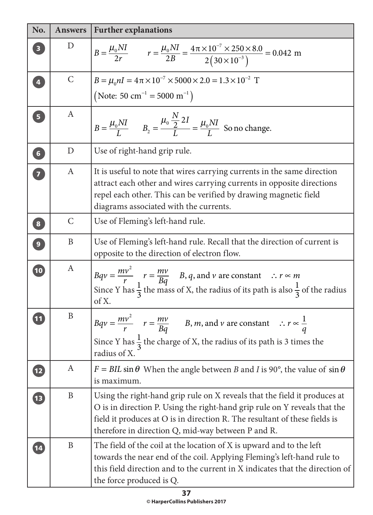| No.                     | <b>Answers</b>   | <b>Further explanations</b>                                                                                                                                                                                                                                                                |
|-------------------------|------------------|--------------------------------------------------------------------------------------------------------------------------------------------------------------------------------------------------------------------------------------------------------------------------------------------|
|                         | D                | $B = \frac{\mu_0 NI}{2r}$ $r = \frac{\mu_0 NI}{2B} = \frac{4\pi \times 10^{-7} \times 250 \times 8.0}{2(30 \times 10^{-3})} = 0.042$ m                                                                                                                                                     |
| $\overline{\mathbf{4}}$ | $\mathsf{C}$     | $B = \mu_0 nI = 4\pi \times 10^{-7} \times 5000 \times 2.0 = 1.3 \times 10^{-2}$ T<br>(Note: 50 cm <sup>-1</sup> = 5000 m <sup>-1</sup> )                                                                                                                                                  |
| 5 <sub>5</sub>          | A                | $B = \frac{\mu_0 NI}{I}$ $B_2 = \frac{\mu_0 \frac{IV}{2} 2I}{I} = \frac{\mu_0 NI}{I}$ So no change.                                                                                                                                                                                        |
| 6 <sup>1</sup>          | D                | Use of right-hand grip rule.                                                                                                                                                                                                                                                               |
| $\overline{7}$          | A                | It is useful to note that wires carrying currents in the same direction<br>attract each other and wires carrying currents in opposite directions<br>repel each other. This can be verified by drawing magnetic field<br>diagrams associated with the currents.                             |
| $\bf{8}$                | $\mathsf{C}$     | Use of Fleming's left-hand rule.                                                                                                                                                                                                                                                           |
| $\boxed{9}$             | B                | Use of Fleming's left-hand rule. Recall that the direction of current is<br>opposite to the direction of electron flow.                                                                                                                                                                    |
| $\overline{10}$         | A                | $Bqv = \frac{mv^2}{r}$ $r = \frac{mv}{Bq}$ B, q, and v are constant $\therefore$ $r \approx m$<br>Since Y has $\frac{1}{3}$ the mass of X, the radius of its path is also $\frac{1}{3}$ of the radius<br>of X.                                                                             |
|                         | B                | $Bqv = \frac{mv^2}{r}$ $r = \frac{mv}{Bq}$ $B, m,$ and v are constant $\therefore r \propto \frac{1}{q}$<br>Since Y has $\frac{1}{3}$ the charge of X, the radius of its path is 3 times the<br>radius of X.                                                                               |
| <b>12</b>               | A                | $F = BIL \sin \theta$ When the angle between B and I is 90°, the value of $\sin \theta$<br>is maximum.                                                                                                                                                                                     |
| $\overline{\mathbf{1}}$ | $\boldsymbol{B}$ | Using the right-hand grip rule on X reveals that the field it produces at<br>O is in direction P. Using the right-hand grip rule on Y reveals that the<br>field it produces at O is in direction R. The resultant of these fields is<br>therefore in direction Q, mid-way between P and R. |
| $\boxed{14}$            | B                | The field of the coil at the location of X is upward and to the left<br>towards the near end of the coil. Applying Fleming's left-hand rule to<br>this field direction and to the current in X indicates that the direction of<br>the force produced is Q.                                 |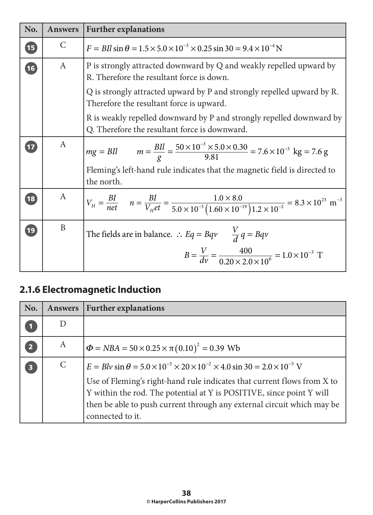| No. | <b>Answers</b> | <b>Further explanations</b>                                                                                                                                                                                       |
|-----|----------------|-------------------------------------------------------------------------------------------------------------------------------------------------------------------------------------------------------------------|
| 15  | C              | $F = BIl \sin \theta = 1.5 \times 5.0 \times 10^{-3} \times 0.25 \sin 30 = 9.4 \times 10^{-4} N$                                                                                                                  |
| 16  | A              | P is strongly attracted downward by Q and weakly repelled upward by<br>R. Therefore the resultant force is down.                                                                                                  |
|     |                | Q is strongly attracted upward by P and strongly repelled upward by R.<br>Therefore the resultant force is upward.                                                                                                |
|     |                | R is weakly repelled downward by P and strongly repelled downward by<br>Q. Therefore the resultant force is downward.                                                                                             |
| 17  | A              | $mg = BII$ $m = \frac{BII}{g} = \frac{50 \times 10^{-3} \times 5.0 \times 0.30}{9.81} = 7.6 \times 10^{-3}$ kg = 7.6 g<br>Fleming's left-hand rule indicates that the magnetic field is directed to<br>the north. |
| 18  | A              | $V_H = \frac{B I}{n e t}$ $n = \frac{B I}{V_H e t} = \frac{1.0 \times 8.0}{5.0 \times 10^{-3} (1.60 \times 10^{-19}) 1.2 \times 10^{-2}} = 8.3 \times 10^{23}$ m <sup>-3</sup>                                    |
| 19  | B              | The fields are in balance. : $Eq = Bqv$ $\frac{V}{d}q = Bqv$<br>$B = \frac{V}{dv} = \frac{400}{0.20 \times 2.0 \times 10^6} = 1.0 \times 10^{-3} \text{ T}$                                                       |

# **2.1.6 Electromagnetic Induction**

| No.                     | <b>Answers</b> | <b>Further explanations</b>                                                                                                                                                                                                                                                                                                                                    |
|-------------------------|----------------|----------------------------------------------------------------------------------------------------------------------------------------------------------------------------------------------------------------------------------------------------------------------------------------------------------------------------------------------------------------|
|                         |                |                                                                                                                                                                                                                                                                                                                                                                |
| $\overline{2}$          | A              | $\Phi = NBA = 50 \times 0.25 \times \pi (0.10)^2 = 0.39$ Wb                                                                                                                                                                                                                                                                                                    |
| $\overline{\mathbf{3}}$ | $\mathsf{C}$   | $E = Blv \sin \theta = 5.0 \times 10^{-3} \times 20 \times 10^{-2} \times 4.0 \sin 30 = 2.0 \times 10^{-3}$ V<br>Use of Fleming's right-hand rule indicates that current flows from X to<br>Y within the rod. The potential at Y is POSITIVE, since point Y will<br>then be able to push current through any external circuit which may be<br>connected to it. |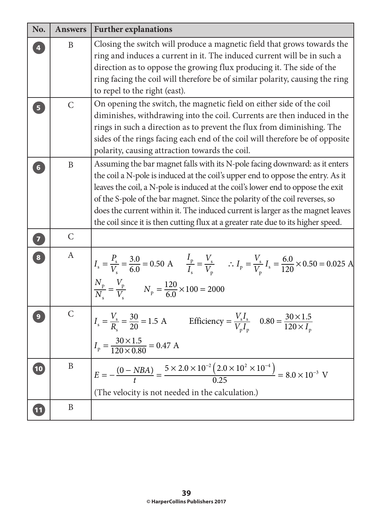| No.                     | <b>Answers</b> | <b>Further explanations</b>                                                                                                                                                                                                                                                                                                                                                                                                                                                                              |
|-------------------------|----------------|----------------------------------------------------------------------------------------------------------------------------------------------------------------------------------------------------------------------------------------------------------------------------------------------------------------------------------------------------------------------------------------------------------------------------------------------------------------------------------------------------------|
|                         | B              | Closing the switch will produce a magnetic field that grows towards the<br>ring and induces a current in it. The induced current will be in such a<br>direction as to oppose the growing flux producing it. The side of the<br>ring facing the coil will therefore be of similar polarity, causing the ring<br>to repel to the right (east).                                                                                                                                                             |
| $\overline{\mathbf{5}}$ | $\mathsf{C}$   | On opening the switch, the magnetic field on either side of the coil<br>diminishes, withdrawing into the coil. Currents are then induced in the<br>rings in such a direction as to prevent the flux from diminishing. The<br>sides of the rings facing each end of the coil will therefore be of opposite<br>polarity, causing attraction towards the coil.                                                                                                                                              |
| $6\phantom{1}$          | $\mathbf B$    | Assuming the bar magnet falls with its N-pole facing downward: as it enters<br>the coil a N-pole is induced at the coil's upper end to oppose the entry. As it<br>leaves the coil, a N-pole is induced at the coil's lower end to oppose the exit<br>of the S-pole of the bar magnet. Since the polarity of the coil reverses, so<br>does the current within it. The induced current is larger as the magnet leaves<br>the coil since it is then cutting flux at a greater rate due to its higher speed. |
| $\boxed{7}$             | $\mathsf{C}$   |                                                                                                                                                                                                                                                                                                                                                                                                                                                                                                          |
| $\boxed{8}$             | $\mathbf{A}$   | $I_s = \frac{P_s}{V_s} = \frac{3.0}{6.0} = 0.50 \text{ A}$ $\frac{I_p}{I_s} = \frac{V_s}{V_p}$ $\therefore I_p = \frac{V_s}{V_p} I_s = \frac{6.0}{120} \times 0.50 = 0.025 \text{ A}$<br>$\frac{N_{\rm p}}{N_{\rm s}} = \frac{V_{\rm p}}{V_{\rm s}}$ $N_{\rm p} = \frac{120}{6.0} \times 100 = 2000$                                                                                                                                                                                                     |
|                         | $\mathcal{C}$  | $I_s = \frac{V_s}{R} = \frac{30}{20} = 1.5 \text{ A}$ Efficiency = $\frac{V_s I_s}{VI}$ 0.80 = $\frac{30 \times 1.5}{120 \times I}$<br>$I_p = \frac{30 \times 1.5}{120 \times 0.80} = 0.47$ A                                                                                                                                                                                                                                                                                                            |
| $\boxed{10}$            | B              | $E = -\frac{(0 - NBA)}{t} = \frac{5 \times 2.0 \times 10^{-2} (2.0 \times 10^{2} \times 10^{-4})}{0.25} = 8.0 \times 10^{-3}$ V<br>(The velocity is not needed in the calculation.)                                                                                                                                                                                                                                                                                                                      |
| 11                      | B              |                                                                                                                                                                                                                                                                                                                                                                                                                                                                                                          |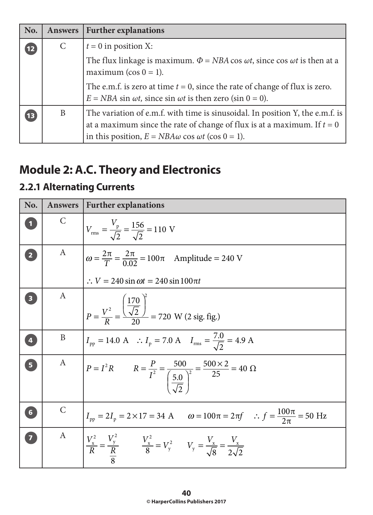| No.                                  | <b>Answers</b> | <b>Further explanations</b>                                                                                                                                                                                                |
|--------------------------------------|----------------|----------------------------------------------------------------------------------------------------------------------------------------------------------------------------------------------------------------------------|
| $\begin{array}{c} \n12\n\end{array}$ | $\mathsf{C}$   | $t = 0$ in position X:                                                                                                                                                                                                     |
|                                      |                | The flux linkage is maximum. $\Phi = NBA \cos \omega t$ , since $\cos \omega t$ is then at a<br>maximum ( $cos 0 = 1$ ).                                                                                                   |
|                                      |                | The e.m.f. is zero at time $t = 0$ , since the rate of change of flux is zero.<br>$E = NBA \sin \omega t$ , since $\sin \omega t$ is then zero ( $\sin 0 = 0$ ).                                                           |
| $\overline{13}$                      | B              | The variation of e.m.f. with time is sinusoidal. In position Y, the e.m.f. is<br>at a maximum since the rate of change of flux is at a maximum. If $t = 0$<br>in this position, $E = NBA\omega \cos \omega t$ (cos 0 = 1). |

# **Module 2: A.C. Theory and Electronics**

## **2.2.1 Alternating Currents**

| No.            | <b>Answers</b> | <b>Further explanations</b>                                                                                                                  |
|----------------|----------------|----------------------------------------------------------------------------------------------------------------------------------------------|
|                | $\mathsf{C}$   | $V_{\text{rms}} = \frac{V_{\text{p}}}{\sqrt{2}} = \frac{156}{\sqrt{2}} = 110 \text{ V}$                                                      |
|                | $\mathbf{A}$   | $\omega = \frac{2\pi}{T} = \frac{2\pi}{0.02} = 100\pi$ Amplitude = 240 V<br>$\therefore V = 240 \sin \omega t = 240 \sin 100 \pi t$          |
|                | A              | $P = \frac{V^2}{R} = \frac{\left(\frac{170}{\sqrt{2}}\right)^2}{20} = 720$ W (2 sig. fig.)                                                   |
| $\overline{a}$ | B              | $I_{\text{pp}} = 14.0 \text{ A}$ : $I_{\text{p}} = 7.0 \text{ A}$ $I_{\text{rms}} = \frac{7.0}{\sqrt{2}} = 4.9 \text{ A}$                    |
| 5 <sub>1</sub> | A              | $P = I^2 R$ $R = \frac{P}{I^2} = \frac{500}{\left(\frac{5.0}{\sqrt{2}}\right)^2} = \frac{500 \times 2}{25} = 40 \Omega$                      |
| 6              | $\mathsf{C}$   | $I_{\text{pp}} = 2I_{\text{p}} = 2 \times 17 = 34 \text{ A}$ $\omega = 100\pi = 2\pi f$ $\therefore f = \frac{100\pi}{2\pi} = 50 \text{ Hz}$ |
|                | A              | $V_x^2 = \frac{V_y^2}{R}$ $V_x^2 = V_y^2$ $V_y = \frac{V_x}{\sqrt{8}} = \frac{V_x}{2\sqrt{2}}$                                               |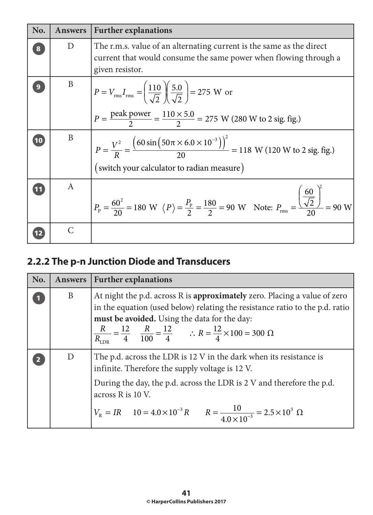| No. | <b>Answers</b> | <b>Further explanations</b>                                                                                                                                                                                                         |
|-----|----------------|-------------------------------------------------------------------------------------------------------------------------------------------------------------------------------------------------------------------------------------|
|     | D              | The r.m.s. value of an alternating current is the same as the direct<br>current that would consume the same power when flowing through a<br>given resistor.                                                                         |
|     | B              | $P = V_{\text{rms}} I_{\text{rms}} = \left(\frac{110}{\sqrt{2}}\right) \left(\frac{5.0}{\sqrt{2}}\right) = 275$ W or<br>$P = \frac{\text{peak power}}{2} = \frac{110 \times 5.0}{2} = 275 \text{ W} (280 \text{ W to 2 sig. fig.})$ |
| 10  | B              | $P = \frac{V^2}{R} = \frac{(60 \sin(50 \pi \times 6.0 \times 10^{-3}))^2}{20} = 118$ W (120 W to 2 sig. fig.)<br>(switch your calculator to radian measure)                                                                         |
|     | A              | $P_P = \frac{60^2}{20} = 180 \text{ W } \langle P \rangle = \frac{P_P}{2} = \frac{180}{2} = 90 \text{ W } \text{ Note: } P_{\text{rms}} = \frac{\left(\frac{60}{\sqrt{2}}\right)}{20} = 90 \text{ W}$                               |
|     | $\mathcal{C}$  |                                                                                                                                                                                                                                     |

## **2.2.2 The p-n Junction Diode and Transducers**

| No. | Answers | <b>Further explanations</b>                                                                                                                                                                                                                                                                                                                 |
|-----|---------|---------------------------------------------------------------------------------------------------------------------------------------------------------------------------------------------------------------------------------------------------------------------------------------------------------------------------------------------|
|     | B       | At night the p.d. across R is approximately zero. Placing a value of zero<br>in the equation (used below) relating the resistance ratio to the p.d. ratio<br>must be avoided. Using the data for the day:<br>$\frac{R}{R_{\text{LDR}}} = \frac{12}{4}$ $\frac{R}{100} = \frac{12}{4}$ $\therefore R = \frac{12}{4} \times 100 = 300 \Omega$ |
|     | D       | The p.d. across the LDR is 12 V in the dark when its resistance is<br>infinite. Therefore the supply voltage is 12 V.<br>During the day, the p.d. across the LDR is 2 V and therefore the p.d.<br>across R is 10 V.<br>$V_R = IR$ $10 = 4.0 \times 10^{-3} R$ $R = \frac{10}{4.0 \times 10^{-3}} = 2.5 \times 10^{3} \Omega$                |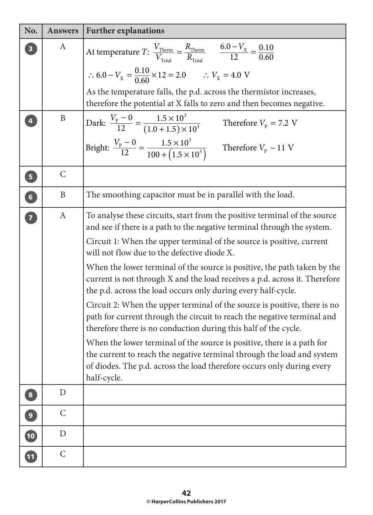| No.                      | <b>Answers</b>   | <b>Further explanations</b>                                                                                                                                                                                                                                                                                                                                                                                                                                                                                                                                                                                                                                                                                                                                                                                                                                                                                                                                                     |
|--------------------------|------------------|---------------------------------------------------------------------------------------------------------------------------------------------------------------------------------------------------------------------------------------------------------------------------------------------------------------------------------------------------------------------------------------------------------------------------------------------------------------------------------------------------------------------------------------------------------------------------------------------------------------------------------------------------------------------------------------------------------------------------------------------------------------------------------------------------------------------------------------------------------------------------------------------------------------------------------------------------------------------------------|
| $\overline{\mathbf{3}}$  | A                | At temperature T: $\frac{V_{\text{Therm}}}{V_{\text{Total}}} = \frac{R_{\text{Therm}}}{R_{\text{Total}}}$ $\frac{6.0 - V_{\text{X}}}{12} = \frac{0.10}{0.60}$                                                                                                                                                                                                                                                                                                                                                                                                                                                                                                                                                                                                                                                                                                                                                                                                                   |
|                          |                  | $\therefore$ 6.0 – $V_{\text{X}} = \frac{0.10}{0.60} \times 12 = 2.0$ $\therefore$ $V_{\text{X}} = 4.0$ V                                                                                                                                                                                                                                                                                                                                                                                                                                                                                                                                                                                                                                                                                                                                                                                                                                                                       |
|                          |                  | As the temperature falls, the p.d. across the thermistor increases,<br>therefore the potential at X falls to zero and then becomes negative.                                                                                                                                                                                                                                                                                                                                                                                                                                                                                                                                                                                                                                                                                                                                                                                                                                    |
| $\overline{\mathbf{4}}$  | B                | Dark: $\frac{V_{\rm p} - 0}{12} = \frac{1.5 \times 10^3}{(1.0 + 1.5) \times 10^3}$<br>Therefore $V_{\rm p} = 7.2$ V                                                                                                                                                                                                                                                                                                                                                                                                                                                                                                                                                                                                                                                                                                                                                                                                                                                             |
|                          |                  | Bright: $\frac{V_{\rm p} - 0}{12} = \frac{1.5 \times 10^3}{100 + (1.5 \times 10^3)}$ Therefore $V_{\rm p} \sim 11$ V                                                                                                                                                                                                                                                                                                                                                                                                                                                                                                                                                                                                                                                                                                                                                                                                                                                            |
| $\overline{\mathbf{5}}$  | $\mathcal{C}$    |                                                                                                                                                                                                                                                                                                                                                                                                                                                                                                                                                                                                                                                                                                                                                                                                                                                                                                                                                                                 |
| 6                        | B                | The smoothing capacitor must be in parallel with the load.                                                                                                                                                                                                                                                                                                                                                                                                                                                                                                                                                                                                                                                                                                                                                                                                                                                                                                                      |
| 7                        | $\boldsymbol{A}$ | To analyse these circuits, start from the positive terminal of the source<br>and see if there is a path to the negative terminal through the system.<br>Circuit 1: When the upper terminal of the source is positive, current<br>will not flow due to the defective diode X.<br>When the lower terminal of the source is positive, the path taken by the<br>current is not through X and the load receives a p.d. across it. Therefore<br>the p.d. across the load occurs only during every half-cycle.<br>Circuit 2: When the upper terminal of the source is positive, there is no<br>path for current through the circuit to reach the negative terminal and<br>therefore there is no conduction during this half of the cycle.<br>When the lower terminal of the source is positive, there is a path for<br>the current to reach the negative terminal through the load and system<br>of diodes. The p.d. across the load therefore occurs only during every<br>half-cycle. |
| 8                        | D                |                                                                                                                                                                                                                                                                                                                                                                                                                                                                                                                                                                                                                                                                                                                                                                                                                                                                                                                                                                                 |
| $\overline{9}$           | $\mathsf{C}$     |                                                                                                                                                                                                                                                                                                                                                                                                                                                                                                                                                                                                                                                                                                                                                                                                                                                                                                                                                                                 |
| $\overline{\mathbf{10}}$ | $\mathbf D$      |                                                                                                                                                                                                                                                                                                                                                                                                                                                                                                                                                                                                                                                                                                                                                                                                                                                                                                                                                                                 |
| $\boxed{11}$             | $\mathcal{C}$    |                                                                                                                                                                                                                                                                                                                                                                                                                                                                                                                                                                                                                                                                                                                                                                                                                                                                                                                                                                                 |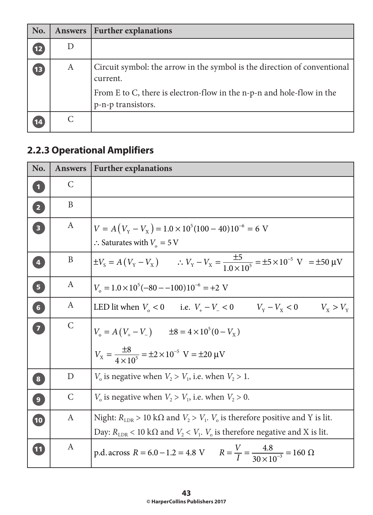| No.          | <b>Answers</b> | <b>Further explanations</b>                                                                                                                                                         |
|--------------|----------------|-------------------------------------------------------------------------------------------------------------------------------------------------------------------------------------|
| $\boxed{12}$ |                |                                                                                                                                                                                     |
| $\sqrt{13}$  | A              | Circuit symbol: the arrow in the symbol is the direction of conventional<br>current.<br>From E to C, there is electron-flow in the n-p-n and hole-flow in the<br>p-n-p transistors. |
|              |                |                                                                                                                                                                                     |

# **2.2.3 Operational Amplifiers**

| No.                     | <b>Answers</b> | <b>Further explanations</b>                                                                                                                                                                                     |
|-------------------------|----------------|-----------------------------------------------------------------------------------------------------------------------------------------------------------------------------------------------------------------|
| $\overline{\mathbf{1}}$ | $\mathsf{C}$   |                                                                                                                                                                                                                 |
| 2                       | B              |                                                                                                                                                                                                                 |
| $\overline{\mathbf{3}}$ | A              | $V = A(V_Y - V_X) = 1.0 \times 10^5 (100 - 40) 10^{-6} = 6$ V<br>$\therefore$ Saturates with $V_0 = 5$ V                                                                                                        |
| $\overline{\mathbf{4}}$ | B              | $\pm V_s = A(V_v - V_x)$ $\therefore V_v - V_x = \frac{\pm 5}{1.0 \times 10^5} = \pm 5 \times 10^{-5}$ V = $\pm 50$ µV                                                                                          |
| $\overline{\mathbf{5}}$ | A              | $V_0 = 1.0 \times 10^5 (-80 - (-100))10^{-6} = +2$ V                                                                                                                                                            |
| 6                       | A              | LED lit when $V_0 < 0$ i.e. $V_+ - V_- < 0$ $V_Y - V_X < 0$ $V_X > V_Y$                                                                                                                                         |
| 7                       | $\mathsf{C}$   | $V_o = A(V_+ - V_-)$ $\pm 8 = 4 \times 10^5 (0 - V_x)$<br>$V_{\rm x} = \frac{\pm 8}{4 \times 10^5} = \pm 2 \times 10^{-5}$ V = $\pm 20$ µV                                                                      |
| $\bf{8}$                | D              | $V_0$ is negative when $V_2 > V_1$ , i.e. when $V_2 > 1$ .                                                                                                                                                      |
| $\bullet$               | $\mathsf{C}$   | $V_0$ is negative when $V_2 > V_1$ , i.e. when $V_2 > 0$ .                                                                                                                                                      |
| $\overline{10}$         | $\mathbf{A}$   | Night: $R_{\text{LDR}} > 10 \text{ k}\Omega$ and $V_2 > V_1$ . $V_0$ is therefore positive and Y is lit.<br>Day: $R_{\text{LDR}}$ < 10 k $\Omega$ and $V_2$ < $V_1$ . $V_0$ is therefore negative and X is lit. |
| 11                      | A              | p.d. across $R = 6.0 - 1.2 = 4.8$ V $R = \frac{V}{I} = \frac{4.8}{30 \times 10^{-3}} = 160 \Omega$                                                                                                              |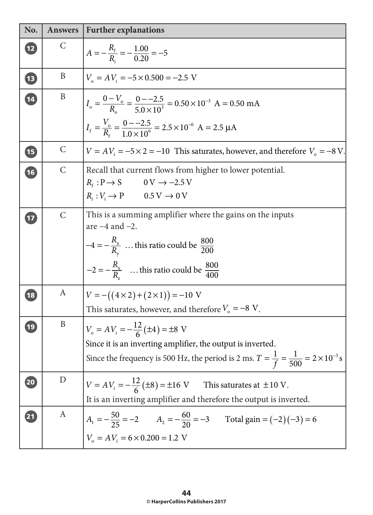| No.                      | <b>Answers</b> | <b>Further explanations</b>                                                                                                                                                                                               |
|--------------------------|----------------|---------------------------------------------------------------------------------------------------------------------------------------------------------------------------------------------------------------------------|
| (12)                     | C              | $A = -\frac{R_{\rm f}}{R_{\rm s}} = -\frac{1.00}{0.20} = -5$                                                                                                                                                              |
| $\sqrt{13}$              | B              | $V_{0} = AV_{i} = -5 \times 0.500 = -2.5$ V                                                                                                                                                                               |
| $\overline{14}$          | B              | $I_o = \frac{0 - v_o}{R_o} = \frac{0 - 2.5}{5.0 \times 10^3} = 0.50 \times 10^{-3}$ A = 0.50 mA                                                                                                                           |
|                          |                | $I_f = \frac{V_o}{R_c} = \frac{0 - 2.5}{1.0 \times 10^6} = 2.5 \times 10^{-6}$ A = 2.5 µA                                                                                                                                 |
| $\sqrt{15}$              | $\mathsf{C}$   | $V = AV$ <sub>i</sub> = -5 × 2 = -10 This saturates, however, and therefore $V_0 = -8$ V.                                                                                                                                 |
| $\overline{\mathbf{16}}$ | $\mathsf{C}$   | Recall that current flows from higher to lower potential.                                                                                                                                                                 |
|                          |                | $R_{\rm f}: {\rm P}\!\rightarrow {\rm S} \hspace{1cm} 0\, {\rm V} \rightarrow -2.5\, {\rm V}$<br>$R_i: V_i \to P$ 0.5 V $\to 0$ V                                                                                         |
| $\overline{17}$          | $\mathcal{C}$  | This is a summing amplifier where the gains on the inputs<br>are $-4$ and $-2$ .                                                                                                                                          |
|                          |                | $-4=-\frac{R_x}{R_x}$ this ratio could be $\frac{800}{200}$<br>$-2 = -\frac{R_x}{R}$ this ratio could be $\frac{800}{400}$                                                                                                |
| (18)                     | A              | $V = -((4 \times 2) + (2 \times 1)) = -10$ V<br>This saturates, however, and therefore $V_0 = -8$ V.                                                                                                                      |
| (19)                     | B              | $V_0 = AV_i = -\frac{12}{6}(\pm 4) = \pm 8$ V<br>Since it is an inverting amplifier, the output is inverted.<br>Since the frequency is 500 Hz, the period is 2 ms. $T = \frac{1}{f} = \frac{1}{500} = 2 \times 10^{-3}$ s |
| 20                       | D              | $V = AV_i = -\frac{12}{6}(\pm 8) = \pm 16$ V This saturates at $\pm 10$ V.<br>It is an inverting amplifier and therefore the output is inverted.                                                                          |
| $\mathbf{21}$            | A              | $A_1 = -\frac{50}{25} = -2$ $A_2 = -\frac{60}{20} = -3$ Total gain = $(-2)(-3) = 6$<br>$V_o = AV_i = 6 \times 0.200 = 1.2$ V                                                                                              |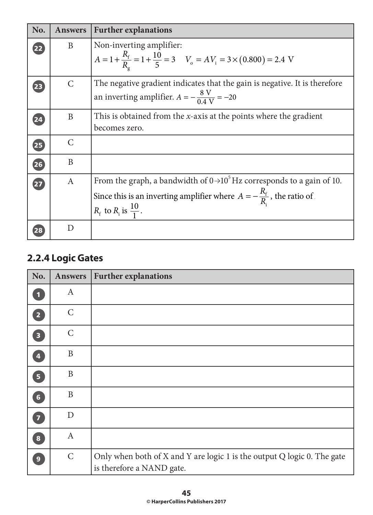| No. | <b>Answers</b> | <b>Further explanations</b>                                                                                                                                                                                             |
|-----|----------------|-------------------------------------------------------------------------------------------------------------------------------------------------------------------------------------------------------------------------|
| 22  | B              | Non-inverting amplifier:<br>$A = 1 + \frac{R_f}{R} = 1 + \frac{10}{5} = 3$ $V_o = AV_i = 3 \times (0.800) = 2.4$ V                                                                                                      |
| 23  | C              | The negative gradient indicates that the gain is negative. It is therefore<br>an inverting amplifier. $A = -\frac{8 \text{ V}}{0.4 \text{ V}} = -20$                                                                    |
| 24  | B              | This is obtained from the <i>x</i> -axis at the points where the gradient<br>becomes zero.                                                                                                                              |
| 25  | $\mathcal{C}$  |                                                                                                                                                                                                                         |
| 26  | B              |                                                                                                                                                                                                                         |
| 27  | $\mathbf{A}$   | From the graph, a bandwidth of $0 \rightarrow 10^5$ Hz corresponds to a gain of 10.<br>Since this is an inverting amplifier where $A = -\frac{R_f}{R}$ , the ratio of<br>$R_{\rm f}$ to $R_{\rm i}$ is $\frac{10}{1}$ . |
|     | D              |                                                                                                                                                                                                                         |

## **2.2.4 Logic Gates**

| No.                     | <b>Answers</b> | <b>Further explanations</b>                                                                          |
|-------------------------|----------------|------------------------------------------------------------------------------------------------------|
| $\vert$ 1               | $\mathbf{A}$   |                                                                                                      |
| $\boxed{2}$             | $\mathsf{C}$   |                                                                                                      |
| $\overline{\mathbf{3}}$ | $\mathsf{C}$   |                                                                                                      |
| $\overline{\mathbf{4}}$ | $\mathbf B$    |                                                                                                      |
| $\boxed{5}$             | B              |                                                                                                      |
| $\boxed{6}$             | B              |                                                                                                      |
| $\overline{\mathbf{z}}$ | D              |                                                                                                      |
| $\boxed{8}$             | $\mathbf{A}$   |                                                                                                      |
| $\overline{9}$          | $\mathsf{C}$   | Only when both of X and Y are logic 1 is the output Q logic 0. The gate<br>is therefore a NAND gate. |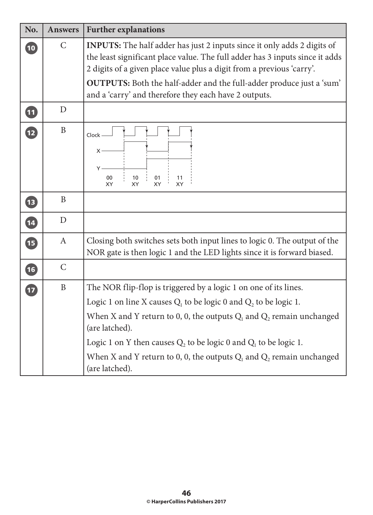| No.          | <b>Answers</b> | <b>Further explanations</b>                                                                                                                                                                                                                                                                                                                                                                                      |  |  |  |
|--------------|----------------|------------------------------------------------------------------------------------------------------------------------------------------------------------------------------------------------------------------------------------------------------------------------------------------------------------------------------------------------------------------------------------------------------------------|--|--|--|
| $\boxed{10}$ | $\mathsf{C}$   | <b>INPUTS:</b> The half adder has just 2 inputs since it only adds 2 digits of<br>the least significant place value. The full adder has 3 inputs since it adds<br>2 digits of a given place value plus a digit from a previous 'carry'.<br>OUTPUTS: Both the half-adder and the full-adder produce just a 'sum'                                                                                                  |  |  |  |
|              |                | and a 'carry' and therefore they each have 2 outputs.                                                                                                                                                                                                                                                                                                                                                            |  |  |  |
| 0            | D              |                                                                                                                                                                                                                                                                                                                                                                                                                  |  |  |  |
| 12           | $\mathbf B$    | Clock -<br>X۰<br>Y<br>00<br>10<br>01<br>11<br>XY<br>XY<br>XY<br><b>XY</b>                                                                                                                                                                                                                                                                                                                                        |  |  |  |
| $\bullet$    | $\mathbf{B}$   |                                                                                                                                                                                                                                                                                                                                                                                                                  |  |  |  |
| 14           | D              |                                                                                                                                                                                                                                                                                                                                                                                                                  |  |  |  |
| t            | $\mathbf{A}$   | Closing both switches sets both input lines to logic 0. The output of the<br>NOR gate is then logic 1 and the LED lights since it is forward biased.                                                                                                                                                                                                                                                             |  |  |  |
| 16           | $\mathcal{C}$  |                                                                                                                                                                                                                                                                                                                                                                                                                  |  |  |  |
| 17           | $\, {\bf B}$   | The NOR flip-flop is triggered by a logic 1 on one of its lines.<br>Logic 1 on line X causes $Q_1$ to be logic 0 and $Q_2$ to be logic 1.<br>When X and Y return to 0, 0, the outputs $Q_1$ and $Q_2$ remain unchanged<br>(are latched).<br>Logic 1 on Y then causes $Q_2$ to be logic 0 and $Q_1$ to be logic 1.<br>When X and Y return to 0, 0, the outputs $Q_1$ and $Q_2$ remain unchanged<br>(are latched). |  |  |  |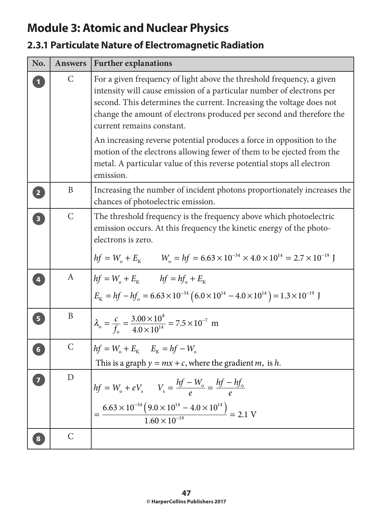# **Module 3: Atomic and Nuclear Physics**

## **2.3.1 Particulate Nature of Electromagnetic Radiation**

| No.                     | <b>Answers</b> | <b>Further explanations</b>                                                                                                                                                                                                                                                                                                 |  |  |
|-------------------------|----------------|-----------------------------------------------------------------------------------------------------------------------------------------------------------------------------------------------------------------------------------------------------------------------------------------------------------------------------|--|--|
|                         | $\mathsf{C}$   | For a given frequency of light above the threshold frequency, a given<br>intensity will cause emission of a particular number of electrons per<br>second. This determines the current. Increasing the voltage does not<br>change the amount of electrons produced per second and therefore the<br>current remains constant. |  |  |
|                         |                | An increasing reverse potential produces a force in opposition to the<br>motion of the electrons allowing fewer of them to be ejected from the<br>metal. A particular value of this reverse potential stops all electron<br>emission.                                                                                       |  |  |
| $\boxed{2}$             | B              | Increasing the number of incident photons proportionately increases the<br>chances of photoelectric emission.                                                                                                                                                                                                               |  |  |
| $\overline{\mathbf{3}}$ | $\mathsf{C}$   | The threshold frequency is the frequency above which photoelectric<br>emission occurs. At this frequency the kinetic energy of the photo-<br>electrons is zero.<br>$hf = W_o + E_K$ $W_o = hf = 6.63 \times 10^{-34} \times 4.0 \times 10^{14} = 2.7 \times 10^{-19}$ J                                                     |  |  |
|                         | A              | $h f = W_{o} + E_{K}$ $h f = h f_{o} + E_{K}$<br>$E_{\rm K} = hf - hf_{\rm o} = 6.63 \times 10^{-34} (6.0 \times 10^{14} - 4.0 \times 10^{14}) = 1.3 \times 10^{-19}$ J                                                                                                                                                     |  |  |
| 5 <sup>1</sup>          | B              | $\lambda_{0} = \frac{c}{f} = \frac{3.00 \times 10^{8}}{4.0 \times 10^{14}} = 7.5 \times 10^{-7}$ m                                                                                                                                                                                                                          |  |  |
| $6\overline{6}$         | $\mathsf{C}$   | $hf = W_o + E_K$ $E_K = hf - W_o$<br>This is a graph $y = mx + c$ , where the gradient <i>m</i> , is <i>h</i> .                                                                                                                                                                                                             |  |  |
|                         | D              | $hf = W_o + eV_s$ $V_s = \frac{hf - W_o}{e} = \frac{hf - hf_o}{e}$<br>$\frac{6.63 \times 10^{-34} (9.0 \times 10^{14} - 4.0 \times 10^{14})}{1.60 \times 10^{-19}} = 2.1 \text{ V}$                                                                                                                                         |  |  |
|                         | $\mathcal{C}$  |                                                                                                                                                                                                                                                                                                                             |  |  |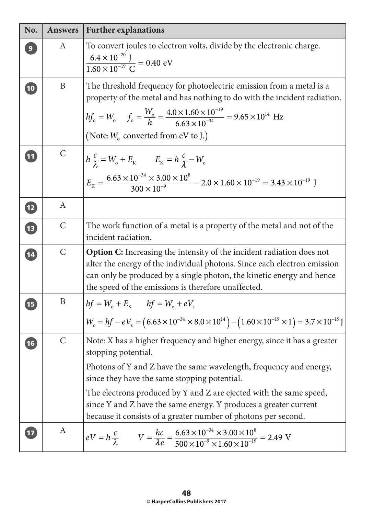| No.          | <b>Answers</b> | <b>Further explanations</b>                                                                                                                                                                                                                                                                                                                                                                                                       |  |  |
|--------------|----------------|-----------------------------------------------------------------------------------------------------------------------------------------------------------------------------------------------------------------------------------------------------------------------------------------------------------------------------------------------------------------------------------------------------------------------------------|--|--|
| $\mathbf{9}$ | A              | To convert joules to electron volts, divide by the electronic charge.<br>$\frac{6.4 \times 10^{-20} \text{ J}}{1.60 \times 10^{-19} \text{ C}} = 0.40 \text{ eV}$                                                                                                                                                                                                                                                                 |  |  |
| $\boxed{10}$ | B              | The threshold frequency for photoelectric emission from a metal is a<br>property of the metal and has nothing to do with the incident radiation.<br>$hf_{o} = W_{o}$ $f_{o} = \frac{W_{o}}{h} = \frac{4.0 \times 1.60 \times 10^{-19}}{6.63 \times 10^{-34}} = 9.65 \times 10^{14}$ Hz<br>(Note: $W_0$ converted from eV to J.)                                                                                                   |  |  |
| 11           | $\mathsf{C}$   | $h\frac{c}{\lambda} = W_0 + E_K$ $E_K = h\frac{c}{\lambda} - W_0$<br>$E_{\rm K} = \frac{6.63 \times 10^{-34} \times 3.00 \times 10^8}{300 \times 10^{-9}} - 2.0 \times 1.60 \times 10^{-19} = 3.43 \times 10^{-19}$ J                                                                                                                                                                                                             |  |  |
| $\mathbf{P}$ | A              |                                                                                                                                                                                                                                                                                                                                                                                                                                   |  |  |
| <b>13</b>    | $\mathcal{C}$  | The work function of a metal is a property of the metal and not of the<br>incident radiation.                                                                                                                                                                                                                                                                                                                                     |  |  |
| 14           | $\mathsf{C}$   | <b>Option C:</b> Increasing the intensity of the incident radiation does not<br>alter the energy of the individual photons. Since each electron emission<br>can only be produced by a single photon, the kinetic energy and hence<br>the speed of the emissions is therefore unaffected.                                                                                                                                          |  |  |
| 15           | B              | $hf = W_{o} + E_{K}$ $hf = W_{o} + eV_{s}$<br>$W_{o} = hf - eV_{s} = (6.63 \times 10^{-34} \times 8.0 \times 10^{14}) - (1.60 \times 10^{-19} \times 1) = 3.7 \times 10^{-19} J$                                                                                                                                                                                                                                                  |  |  |
| 16           | $\mathcal{C}$  | Note: X has a higher frequency and higher energy, since it has a greater<br>stopping potential.<br>Photons of Y and Z have the same wavelength, frequency and energy,<br>since they have the same stopping potential.<br>The electrons produced by Y and Z are ejected with the same speed,<br>since Y and Z have the same energy. Y produces a greater current<br>because it consists of a greater number of photons per second. |  |  |
| 17           | A              | $eV = h \frac{c}{\lambda}$ $V = \frac{hc}{\lambda e} = \frac{6.63 \times 10^{-34} \times 3.00 \times 10^8}{500 \times 10^{-9} \times 1.60 \times 10^{-19}} = 2.49 \text{ V}$                                                                                                                                                                                                                                                      |  |  |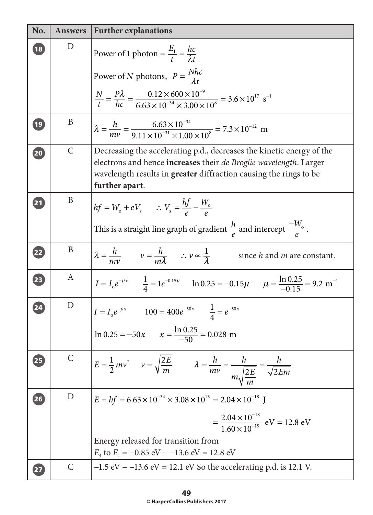| No.                      | <b>Answers</b> | <b>Further explanations</b>                                                                                                                                                                                                       |  |
|--------------------------|----------------|-----------------------------------------------------------------------------------------------------------------------------------------------------------------------------------------------------------------------------------|--|
| $\sqrt{18}$              | D              | Power of 1 photon = $\frac{E_1}{t} = \frac{hc}{\lambda t}$                                                                                                                                                                        |  |
|                          |                | Power of N photons, $P = \frac{Nhc}{\lambda t}$                                                                                                                                                                                   |  |
|                          |                | $\frac{N}{t} = \frac{P\lambda}{hc} = \frac{0.12 \times 600 \times 10^{-9}}{6.63 \times 10^{-34} \times 3.00 \times 10^8} = 3.6 \times 10^{17} \text{ s}^{-1}$                                                                     |  |
| $\mathbf{19}$            | B              | $\lambda = \frac{h}{mv} = \frac{6.63 \times 10^{-34}}{9.11 \times 10^{-31} \times 1.00 \times 10^8} = 7.3 \times 10^{-12}$ m                                                                                                      |  |
| 20                       | $\mathcal{C}$  | Decreasing the accelerating p.d., decreases the kinetic energy of the<br>electrons and hence increases their de Broglie wavelength. Larger<br>wavelength results in greater diffraction causing the rings to be<br>further apart. |  |
| 21                       | B              | $hf = W_o + eV_s$ : $V_s = \frac{hf}{a} - \frac{W_o}{a}$<br>This is a straight line graph of gradient $\frac{h}{\rho}$ and intercept $\frac{-W_0}{\rho}$ .                                                                        |  |
| 22                       | B              | $\lambda = \frac{h}{mv}$ $v = \frac{h}{m\lambda}$ $\therefore v \propto \frac{1}{\lambda}$<br>since h and m are constant.                                                                                                         |  |
| $\overline{\mathbf{23}}$ | A              | $I = I_0 e^{-\mu x}$ $\frac{1}{4} = 1 e^{-0.15\mu}$ $\ln 0.25 = -0.15\mu$ $\mu = \frac{\ln 0.25}{-0.15} = 9.2 \text{ m}^{-1}$                                                                                                     |  |
| $\overline{24}$          | D              | $I = I_0 e^{-\mu x}$ $100 = 400 e^{-50 x}$ $\frac{1}{4} = e^{-50 x}$<br>$\ln 0.25 = -50x$ $x = \frac{\ln 0.25}{-50} = 0.028$ m                                                                                                    |  |
| 25                       | $\mathsf{C}$   | $E = \frac{1}{2}mv^2$ $v = \sqrt{\frac{2E}{m}}$ $\lambda = \frac{h}{mv} = \frac{h}{m\sqrt{2E}} = \frac{h}{\sqrt{2Em}}$                                                                                                            |  |
| 26                       | D              | $E = hf = 6.63 \times 10^{-34} \times 3.08 \times 10^{15} = 2.04 \times 10^{-18}$ J<br>$=\frac{2.04\times10^{-18}}{1.60\times10^{-19}}$ eV = 12.8 eV                                                                              |  |
|                          |                | Energy released for transition from<br>$E_4$ to $E_1 = -0.85$ eV $-13.6$ eV $= 12.8$ eV                                                                                                                                           |  |
|                          | $\mathcal{C}$  | $-1.5$ eV $-13.6$ eV $= 12.1$ eV So the accelerating p.d. is 12.1 V.                                                                                                                                                              |  |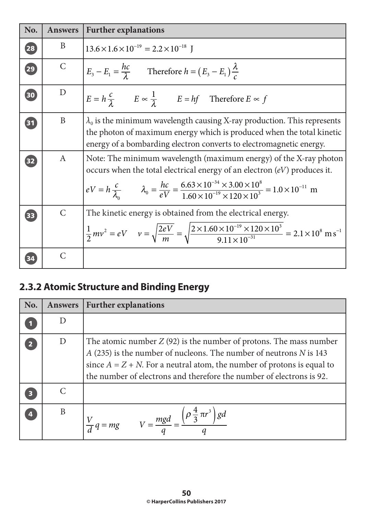| No.             | <b>Answers</b> | <b>Further explanations</b>                                                                                                                                                                                                                                                                                                          |  |  |  |
|-----------------|----------------|--------------------------------------------------------------------------------------------------------------------------------------------------------------------------------------------------------------------------------------------------------------------------------------------------------------------------------------|--|--|--|
| 28              | B              | $13.6 \times 1.6 \times 10^{-19} = 2.2 \times 10^{-18}$ J                                                                                                                                                                                                                                                                            |  |  |  |
| $\overline{29}$ | $\mathcal{C}$  | $E_3 - E_1 = \frac{hc}{\lambda}$ Therefore $h = (E_3 - E_1) \frac{\lambda}{c}$                                                                                                                                                                                                                                                       |  |  |  |
| 30              | D              | $E = h \frac{c}{\lambda}$ $E \propto \frac{1}{\lambda}$ $E = hf$ Therefore $E \propto f$                                                                                                                                                                                                                                             |  |  |  |
| 31              | B              | $\lambda_0$ is the minimum wavelength causing X-ray production. This represents<br>the photon of maximum energy which is produced when the total kinetic<br>energy of a bombarding electron converts to electromagnetic energy.                                                                                                      |  |  |  |
| 32              | $\mathbf{A}$   | Note: The minimum wavelength (maximum energy) of the X-ray photon<br>occurs when the total electrical energy of an electron (eV) produces it.<br>$eV = h \frac{c}{\lambda_0}$ $\lambda_0 = \frac{hc}{eV} = \frac{6.63 \times 10^{-34} \times 3.00 \times 10^8}{1.60 \times 10^{-19} \times 120 \times 10^3} = 1.0 \times 10^{-11}$ m |  |  |  |
| 33              | $\mathsf{C}$   | The kinetic energy is obtained from the electrical energy.<br>$\frac{1}{2}mv^2 = eV$ $v = \sqrt{\frac{2eV}{m}} = \sqrt{\frac{2 \times 1.60 \times 10^{-19} \times 120 \times 10^3}{9.11 \times 10^{-31}}} = 2.1 \times 10^8 \text{ m s}^{-1}$                                                                                        |  |  |  |
|                 | $\mathcal{C}$  |                                                                                                                                                                                                                                                                                                                                      |  |  |  |

# **2.3.2 Atomic Structure and Binding Energy**

| No. | <b>Answers</b> | <b>Further explanations</b>                                                                                                                                                                                                                                                                        |
|-----|----------------|----------------------------------------------------------------------------------------------------------------------------------------------------------------------------------------------------------------------------------------------------------------------------------------------------|
|     |                |                                                                                                                                                                                                                                                                                                    |
|     | D              | The atomic number $Z(92)$ is the number of protons. The mass number<br>$A$ (235) is the number of nucleons. The number of neutrons $N$ is 143<br>since $A = Z + N$ . For a neutral atom, the number of protons is equal to<br>the number of electrons and therefore the number of electrons is 92. |
|     |                |                                                                                                                                                                                                                                                                                                    |
|     | B              | $\frac{V}{d}q = mg$ $V = \frac{mgd}{2} = \frac{\left(\rho \frac{4}{3} \pi r^3\right)}{g}$                                                                                                                                                                                                          |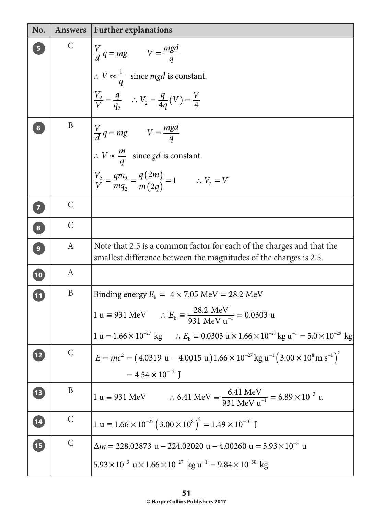| No.                     | <b>Answers</b> | <b>Further explanations</b>                                                                                                                     |  |  |
|-------------------------|----------------|-------------------------------------------------------------------------------------------------------------------------------------------------|--|--|
| 5 <sub>1</sub>          | C              | $\begin{cases} \frac{V}{d} q = mg & V = \frac{mgd}{q} \\ \therefore V \propto \frac{1}{q} & \text{since } mgd \text{ is constant.} \end{cases}$ |  |  |
|                         |                |                                                                                                                                                 |  |  |
|                         |                | $\frac{V_2}{V} = \frac{q}{q_2}$ : $V_2 = \frac{q}{4q}(V) = \frac{V}{4}$                                                                         |  |  |
| $6\phantom{1}$          | B              | $V = \frac{mgd}{d}$<br>$\therefore V \propto \frac{m}{q}$ since gd is constant.                                                                 |  |  |
|                         |                |                                                                                                                                                 |  |  |
|                         |                | $\frac{V_2}{V} = \frac{qm_2}{ma_2} = \frac{q(2m)}{m(2a)} = 1$ $\therefore V_2 = V$                                                              |  |  |
| $\overline{\textbf{C}}$ | $\mathcal{C}$  |                                                                                                                                                 |  |  |
| 8                       | $\mathsf{C}$   |                                                                                                                                                 |  |  |
| $\boxed{9}$             | A              | Note that 2.5 is a common factor for each of the charges and that the<br>smallest difference between the magnitudes of the charges is 2.5.      |  |  |
| 10                      | A              |                                                                                                                                                 |  |  |
| $\overline{\mathbf{u}}$ | B              | Binding energy $E_b = 4 \times 7.05 \text{ MeV} = 28.2 \text{ MeV}$                                                                             |  |  |
|                         |                | 1 u = 931 MeV $\therefore E_b = \frac{28.2 \text{ MeV}}{931 \text{ MeV u}^{-1}} = 0.0303 \text{ u}$                                             |  |  |
|                         |                | 1 u = $1.66 \times 10^{-27}$ kg $\therefore E_b = 0.0303$ u $\times 1.66 \times 10^{-27}$ kg u <sup>-1</sup> = $5.0 \times 10^{-29}$ kg         |  |  |
| 12                      | $\mathcal{C}$  | $E = mc^2 = (4.0319 \text{ u} - 4.0015 \text{ u})1.66 \times 10^{-27} \text{ kg u}^{-1} (3.00 \times 10^8 \text{ m s}^{-1})^2$                  |  |  |
|                         |                | $= 4.54 \times 10^{-12}$ J                                                                                                                      |  |  |
| E                       | B              | 1 u = 931 MeV $\therefore$ 6.41 MeV = $\frac{6.41 \text{ MeV}}{931 \text{ MeV u}^{-1}}$ = 6.89 × 10 <sup>-3</sup> u                             |  |  |
| 14                      | $\mathsf C$    | 1 u = $1.66 \times 10^{-27} (3.00 \times 10^8)^2 = 1.49 \times 10^{-10}$ J                                                                      |  |  |
| E                       | $\mathsf C$    | $\Delta m = 228.02873 \text{ u} - 224.02020 \text{ u} - 4.00260 \text{ u} = 5.93 \times 10^{-3} \text{ u}$                                      |  |  |
|                         |                | $5.93 \times 10^{-3}$ u $\times 1.66 \times 10^{-27}$ kg u <sup>-1</sup> = 9.84 $\times 10^{-30}$ kg                                            |  |  |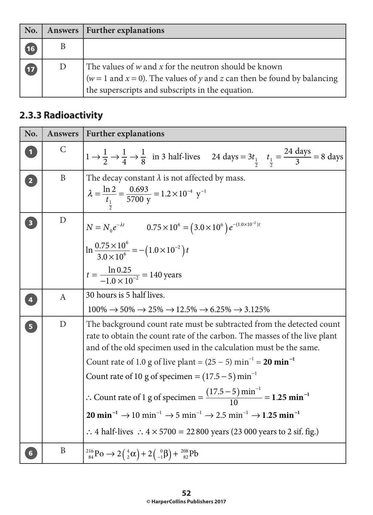| No.                      |   | Answers   Further explanations                                                                                                                                                                         |
|--------------------------|---|--------------------------------------------------------------------------------------------------------------------------------------------------------------------------------------------------------|
| 16                       | Β |                                                                                                                                                                                                        |
| $\overline{\mathbf{17}}$ | D | The values of $w$ and $x$ for the neutron should be known<br>$  (w = 1 \text{ and } x = 0)$ . The values of y and z can then be found by balancing<br>the superscripts and subscripts in the equation. |

## **2.3.3 Radioactivity**

| No.                     | <b>Answers</b>   | <b>Further explanations</b>                                                                                                                                                                                                                                                                                                                                                                                                                                                                                                                                                                                                                                                                                                                                                 |  |  |  |
|-------------------------|------------------|-----------------------------------------------------------------------------------------------------------------------------------------------------------------------------------------------------------------------------------------------------------------------------------------------------------------------------------------------------------------------------------------------------------------------------------------------------------------------------------------------------------------------------------------------------------------------------------------------------------------------------------------------------------------------------------------------------------------------------------------------------------------------------|--|--|--|
|                         | $\mathcal{C}$    | $1 \rightarrow \frac{1}{2} \rightarrow \frac{1}{4} \rightarrow \frac{1}{8}$ in 3 half-lives 24 days = $3t_{\frac{1}{2}}$ $t_{\frac{1}{2}} = \frac{24 \text{ days}}{3} = 8 \text{ days}$                                                                                                                                                                                                                                                                                                                                                                                                                                                                                                                                                                                     |  |  |  |
| $\overline{2}$          | B                | The decay constant $\lambda$ is not affected by mass.<br>$\lambda = \frac{\ln 2}{t_1} = \frac{0.693}{5700 \text{ y}} = 1.2 \times 10^{-4} \text{ y}^{-1}$                                                                                                                                                                                                                                                                                                                                                                                                                                                                                                                                                                                                                   |  |  |  |
| $\overline{\mathbf{3}}$ | $\mathbf D$      | $N = N_0 e^{-\lambda t}$ $0.75 \times 10^6 = (3.0 \times 10^6) e^{-(1.0 \times 10^{-2})t}$<br>$\ln \frac{0.75 \times 10^6}{2.0 \times 10^6} = -(1.0 \times 10^{-2}) t$<br>$t = \frac{\ln 0.25}{1.0 \times 10^{-2}} = 140$ years                                                                                                                                                                                                                                                                                                                                                                                                                                                                                                                                             |  |  |  |
| $\overline{4}$          | $\boldsymbol{A}$ | 30 hours is 5 half lives.<br>$100\% \rightarrow 50\% \rightarrow 25\% \rightarrow 12.5\% \rightarrow 6.25\% \rightarrow 3.125\%$                                                                                                                                                                                                                                                                                                                                                                                                                                                                                                                                                                                                                                            |  |  |  |
| 5                       | $\mathbf D$      | The background count rate must be subtracted from the detected count<br>rate to obtain the count rate of the carbon. The masses of the live plant<br>and of the old specimen used in the calculation must be the same.<br>Count rate of 1.0 g of live plant = $(25 – 5)$ min <sup>-1</sup> = <b>20 min</b> <sup>-1</sup><br>Count rate of 10 g of specimen = $(17.5-5)$ min <sup>-1</sup><br>: Count rate of 1 g of specimen = $\frac{(17.5-5) \text{ min}^{-1}}{10}$ = 1.25 min <sup>-1</sup><br>20 min <sup>-1</sup> $\rightarrow$ 10 min <sup>-1</sup> $\rightarrow$ 5 min <sup>-1</sup> $\rightarrow$ 2.5 min <sup>-1</sup> $\rightarrow$ 1.25 min <sup>-1</sup><br>$\therefore$ 4 half-lives $\therefore$ 4 $\times$ 5700 = 22 800 years (23 000 years to 2 sif. fig.) |  |  |  |
|                         | B                | $^{216}_{84}P_0 \rightarrow 2(^{4}_{2}\alpha)+2(^{0}_{-1}\beta)+^{208}_{82}P_0$                                                                                                                                                                                                                                                                                                                                                                                                                                                                                                                                                                                                                                                                                             |  |  |  |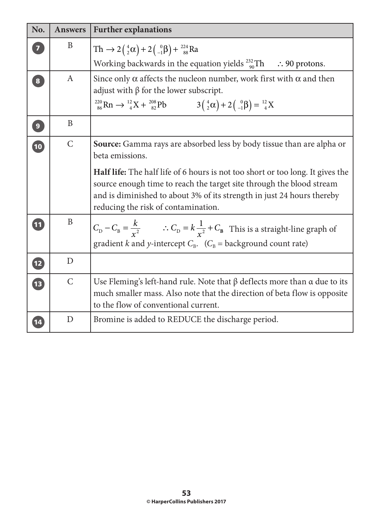| No.                      | <b>Answers</b> | <b>Further explanations</b>                                                                                                                                                                                                                                                                                                                                                |  |  |  |
|--------------------------|----------------|----------------------------------------------------------------------------------------------------------------------------------------------------------------------------------------------------------------------------------------------------------------------------------------------------------------------------------------------------------------------------|--|--|--|
| $\overline{7}$           | B              | $\text{Th} \rightarrow 2\left(\frac{4}{2}\alpha\right) + 2\left(\frac{0}{-1}\beta\right) + \frac{224}{88}\text{Ra}$<br>Working backwards in the equation yields $^{232}_{90}$ Th $\therefore$ 90 protons.                                                                                                                                                                  |  |  |  |
| $\overline{\mathbf{8}}$  | A              | Since only $\alpha$ affects the nucleon number, work first with $\alpha$ and then<br>adjust with $\beta$ for the lower subscript.<br>$^{220}_{86} \text{Rn} \rightarrow ^{12}_{4} \text{X} + ^{208}_{82} \text{Pb}$ $3(^{4}_{2} \alpha) + 2(^{0}_{-1} \beta) = ^{12}_{4} \text{X}$                                                                                         |  |  |  |
| $\boxed{9}$              | B              |                                                                                                                                                                                                                                                                                                                                                                            |  |  |  |
| 10                       | $\mathcal{C}$  | <b>Source:</b> Gamma rays are absorbed less by body tissue than are alpha or<br>beta emissions.<br>Half life: The half life of 6 hours is not too short or too long. It gives the<br>source enough time to reach the target site through the blood stream<br>and is diminished to about 3% of its strength in just 24 hours thereby<br>reducing the risk of contamination. |  |  |  |
| $\boxed{11}$             | B              | $C_{\text{D}}-C_{\text{B}}=\frac{k}{r^2}$ $\therefore C_{\text{D}}=k\frac{1}{r^2}+C_{\text{B}}$ This is a straight-line graph of<br>gradient k and y-intercept $C_B$ . ( $C_B$ = background count rate)                                                                                                                                                                    |  |  |  |
| $\overline{\mathbf{12}}$ | D              |                                                                                                                                                                                                                                                                                                                                                                            |  |  |  |
| <b>13</b>                | $\mathcal{C}$  | Use Fleming's left-hand rule. Note that $\beta$ deflects more than $\alpha$ due to its<br>much smaller mass. Also note that the direction of beta flow is opposite<br>to the flow of conventional current.                                                                                                                                                                 |  |  |  |
| 14                       | D              | Bromine is added to REDUCE the discharge period.                                                                                                                                                                                                                                                                                                                           |  |  |  |